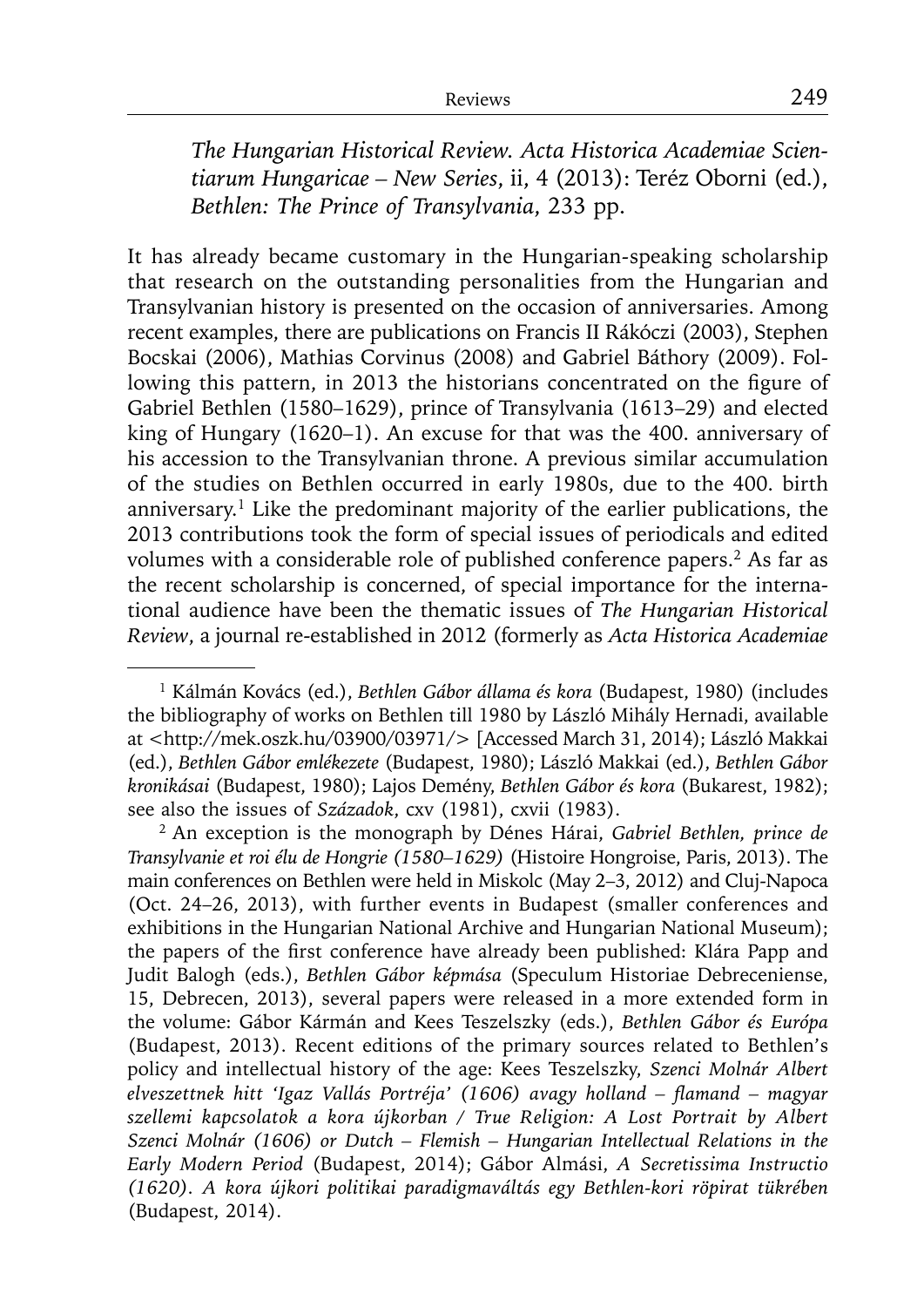*The Hungarian Historical Review. Acta Historica Academiae Scientiarum Hungaricae – New Series*, ii, 4 (2013): Teréz Oborni (ed.), *Bethlen: The Prince of Transylvania*, 233 pp.

It has already became customary in the Hungarian-speaking scholarship that research on the outstanding personalities from the Hungarian and Transylvanian history is presented on the occasion of anniversaries. Among recent examples, there are publications on Francis II Rákóczi (2003), Stephen Bocskai (2006), Mathias Corvinus (2008) and Gabriel Báthory (2009). Following this pattern, in 2013 the historians concentrated on the figure of Gabriel Bethlen (1580–1629), prince of Transylvania (1613–29) and elected king of Hungary (1620–1). An excuse for that was the 400. anniversary of his accession to the Transylvanian throne. A previous similar accumulation of the studies on Bethlen occurred in early 1980s, due to the 400. birth anniversary.1 Like the predominant majority of the earlier publications, the 2013 contributions took the form of special issues of periodicals and edited volumes with a considerable role of published conference papers.<sup>2</sup> As far as the recent scholarship is concerned, of special importance for the international audience have been the thematic issues of *The Hungarian Historical Review*, a journal re-established in 2012 (formerly as *Acta Historica Academiae* 

<sup>1</sup> Kálmán Kovács (ed.), *Bethlen Gábor állama és kora* (Budapest, 1980) (includes the bibliography of works on Bethlen till 1980 by László Mihály Hernadi, available at <http://mek.oszk.hu/03900/03971/> [Accessed March 31, 2014); László Makkai (ed.), *Bethlen Gábor emlékezete* (Budapest, 1980); László Makkai (ed.), *Bethlen Gábor kronikásai* (Budapest, 1980); Lajos Demény, *Bethlen Gábor és kora* (Bukarest, 1982); see also the issues of *Századok*, cxv (1981), cxvii (1983).

<sup>2</sup> An exception is the monograph by Dénes Hárai, *Gabriel Bethlen, prince de Transylvanie et roi élu de Hongrie (1580–1629)* (Histoire Hongroise, Paris, 2013). The main conferences on Bethlen were held in Miskolc (May 2–3, 2012) and Cluj-Napoca (Oct. 24–26, 2013), with further events in Budapest (smaller conferences and exhibitions in the Hungarian National Archive and Hungarian National Museum); the papers of the first conference have already been published: Klára Papp and Judit Balogh (eds.), *Bethlen Gábor képmása* (Speculum Historiae Debreceniense, 15, Debrecen, 2013), several papers were released in a more extended form in the volume: Gábor Kármán and Kees Teszelszky (eds.), *Bethlen Gábor és Európa* (Budapest, 2013). Recent editions of the primary sources related to Bethlen's policy and intellectual history of the age: Kees Teszelszky, *Szenci Molnár Albert*  elveszettnek hitt 'Igaz Vallás Portréja' (1606) avagy holland – flamand – magyar *szellemi kapcsolatok a kora újkorban / True Religion: A Lost Portrait by Albert Szenci Molnár (1606) or Dutch – Flemish – Hungarian Intellectual Relations in the Early Modern Period* (Budapest, 2014); Gábor Almási, *A Secretissima Instructio (1620). A kora újkori politikai paradigmaváltás egy Bethlen-kori röpirat tükrében* (Budapest, 2014).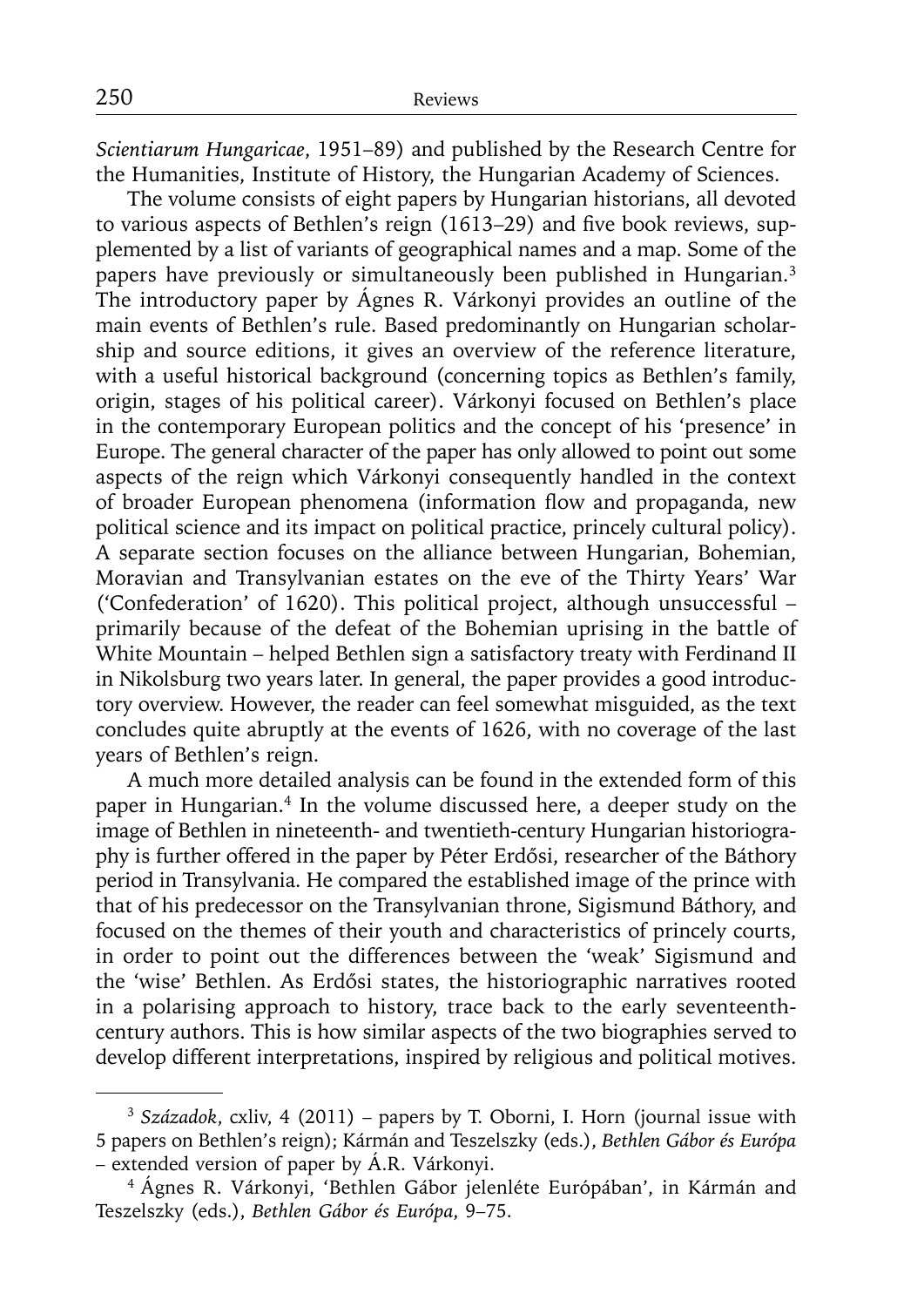*Scientiarum Hungaricae*, 1951–89) and published by the Research Centre for the Humanities, Institute of History, the Hungarian Academy of Sciences.

The volume consists of eight papers by Hungarian historians, all devoted to various aspects of Bethlen's reign (1613–29) and five book reviews, supplemented by a list of variants of geographical names and a map. Some of the papers have previously or simultaneously been published in Hungarian.<sup>3</sup> The introductory paper by Ágnes R. Várkonyi provides an outline of the main events of Bethlen's rule. Based predominantly on Hungarian scholarship and source editions, it gives an overview of the reference literature, with a useful historical background (concerning topics as Bethlen's family, origin, stages of his political career). Várkonyi focused on Bethlen's place in the contemporary European politics and the concept of his 'presence' in Europe. The general character of the paper has only allowed to point out some aspects of the reign which Várkonyi consequently handled in the context of broader European phenomena (information flow and propaganda, new political science and its impact on political practice, princely cultural policy). A separate section focuses on the alliance between Hungarian, Bohemian, Moravian and Transylvanian estates on the eve of the Thirty Years' War ('Confederation' of 1620). This political project, although unsuccessful – primarily because of the defeat of the Bohemian uprising in the battle of White Mountain – helped Bethlen sign a satisfactory treaty with Ferdinand II in Nikolsburg two years later. In general, the paper provides a good introductory overview. However, the reader can feel somewhat misguided, as the text concludes quite abruptly at the events of 1626, with no coverage of the last years of Bethlen's reign.

A much more detailed analysis can be found in the extended form of this paper in Hungarian.<sup>4</sup> In the volume discussed here, a deeper study on the image of Bethlen in nineteenth- and twentieth-century Hungarian historiography is further offered in the paper by Péter Erdősi, researcher of the Báthory period in Transylvania. He compared the established image of the prince with that of his predecessor on the Transylvanian throne, Sigismund Báthory, and focused on the themes of their youth and characteristics of princely courts, in order to point out the differences between the 'weak' Sigismund and the 'wise' Bethlen. As Erdősi states, the historiographic narratives rooted in a polarising approach to history, trace back to the early seventeenthcentury authors. This is how similar aspects of the two biographies served to develop different interpretations, inspired by religious and political motives.

<sup>3</sup>*Századok*, cxliv, 4 (2011) – papers by T. Oborni, I. Horn (journal issue with 5 papers on Bethlen's reign); Kármán and Teszelszky (eds.), *Bethlen Gábor és Európa* – extended version of paper by Á.R. Várkonyi.

<sup>4</sup> Ágnes R. Várkonyi, 'Bethlen Gábor jelenléte Európában', in Kármán and Teszelszky (eds.), *Bethlen Gábor és Európa*, 9–75.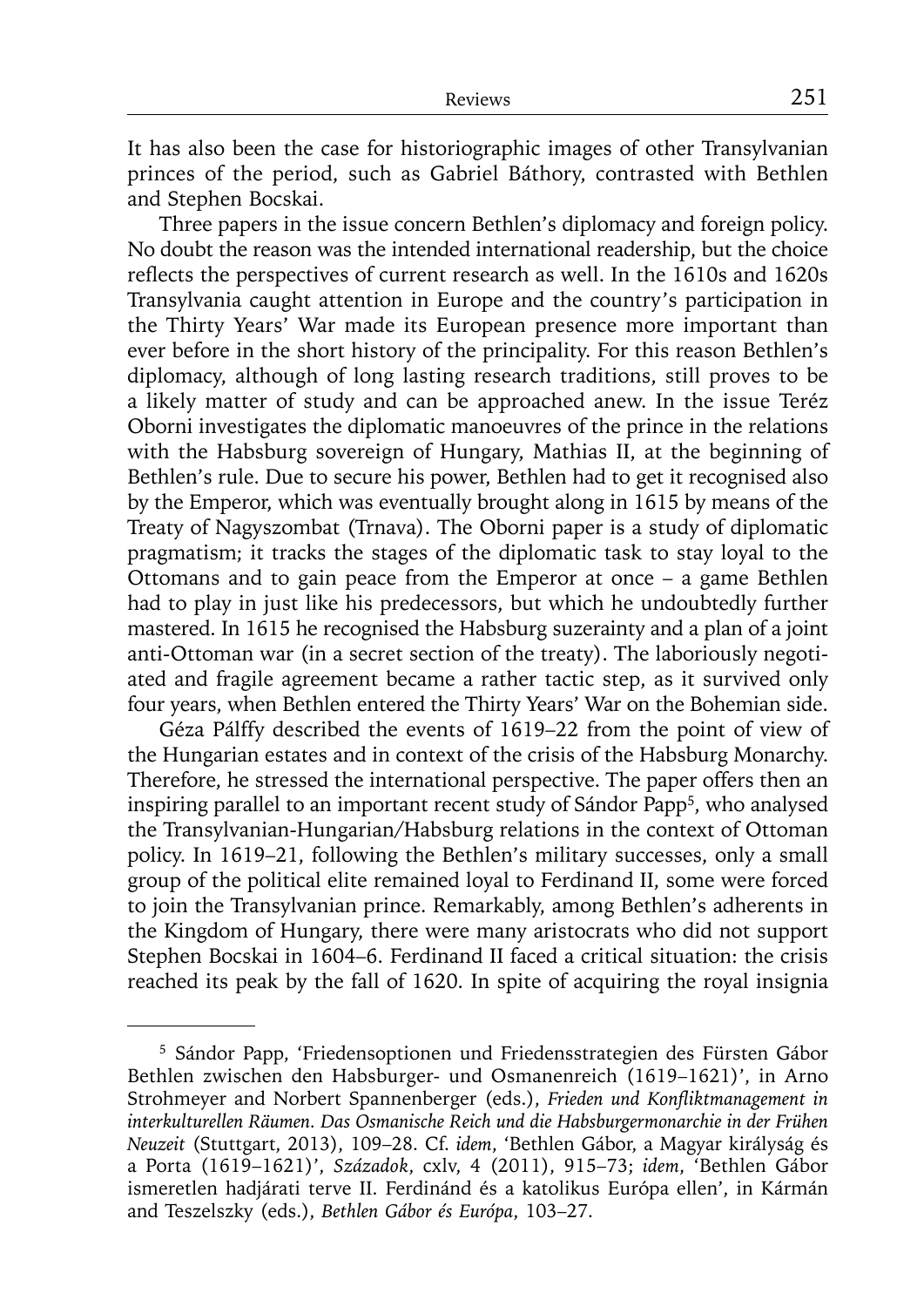It has also been the case for historiographic images of other Transylvanian princes of the period, such as Gabriel Báthory, contrasted with Bethlen and Stephen Bocskai.

Three papers in the issue concern Bethlen's diplomacy and foreign policy. No doubt the reason was the intended international readership, but the choice reflects the perspectives of current research as well. In the 1610s and 1620s Transylvania caught attention in Europe and the country's participation in the Thirty Years' War made its European presence more important than ever before in the short history of the principality. For this reason Bethlen's diplomacy, although of long lasting research traditions, still proves to be a likely matter of study and can be approached anew. In the issue Teréz Oborni investigates the diplomatic manoeuvres of the prince in the relations with the Habsburg sovereign of Hungary, Mathias II, at the beginning of Bethlen's rule. Due to secure his power, Bethlen had to get it recognised also by the Emperor, which was eventually brought along in 1615 by means of the Treaty of Nagyszombat (Trnava). The Oborni paper is a study of diplomatic pragmatism; it tracks the stages of the diplomatic task to stay loyal to the Ottomans and to gain peace from the Emperor at once – a game Bethlen had to play in just like his predecessors, but which he undoubtedly further mastered. In 1615 he recognised the Habsburg suzerainty and a plan of a joint anti-Ottoman war (in a secret section of the treaty). The laboriously negotiated and fragile agreement became a rather tactic step, as it survived only four years, when Bethlen entered the Thirty Years' War on the Bohemian side.

Géza Pálffy described the events of 1619–22 from the point of view of the Hungarian estates and in context of the crisis of the Habsburg Monarchy. Therefore, he stressed the international perspective. The paper offers then an inspiring parallel to an important recent study of Sándor Papp<sup>5</sup>, who analysed the Transylvanian-Hungarian/Habsburg relations in the context of Ottoman policy. In 1619–21, following the Bethlen's military successes, only a small group of the political elite remained loyal to Ferdinand II, some were forced to join the Transylvanian prince. Remarkably, among Bethlen's adherents in the Kingdom of Hungary, there were many aristocrats who did not support Stephen Bocskai in 1604–6. Ferdinand II faced a critical situation: the crisis reached its peak by the fall of 1620. In spite of acquiring the royal insignia

<sup>5</sup> Sándor Papp, 'Friedensoptionen und Friedensstrategien des Fürsten Gábor Bethlen zwischen den Habsburger- und Osmanenreich (1619–1621)', in Arno Strohmeyer and Norbert Spannenberger (eds.), *Frieden und Konfliktmanagement in interkulturellen Räumen. Das Osmanische Reich und die Habsburgermonarchie in der Frühen Neuzeit* (Stuttgart, 2013), 109–28. Cf. *idem*, 'Bethlen Gábor, a Magyar királyság és a Porta (1619–1621)', *Századok*, cxlv, 4 (2011), 915–73; *idem*, 'Bethlen Gábor ismeretlen hadjárati terve II. Ferdinánd és a katolikus Európa ellen', in Kármán and Teszelszky (eds.), *Bethlen Gábor és Európa*, 103–27.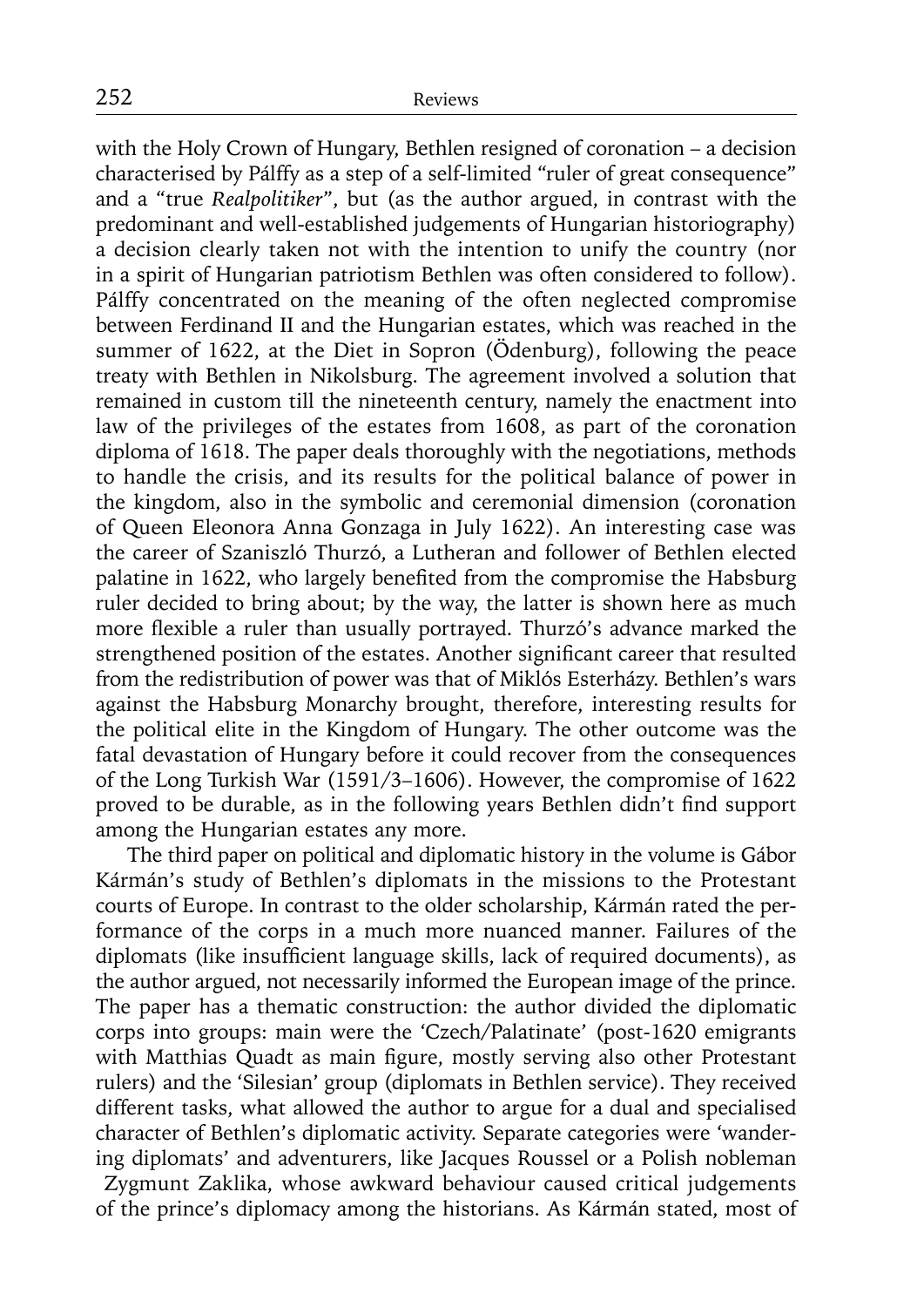with the Holy Crown of Hungary, Bethlen resigned of coronation – a decision characterised by Pálffy as a step of a self-limited "ruler of great consequence" and a "true *Realpolitiker*", but (as the author argued, in contrast with the predominant and well-established judgements of Hungarian historiography) a decision clearly taken not with the intention to unify the country (nor in a spirit of Hungarian patriotism Bethlen was often considered to follow). Pálffy concentrated on the meaning of the often neglected compromise between Ferdinand II and the Hungarian estates, which was reached in the summer of 1622, at the Diet in Sopron (Ödenburg), following the peace treaty with Bethlen in Nikolsburg. The agreement involved a solution that remained in custom till the nineteenth century, namely the enactment into law of the privileges of the estates from 1608, as part of the coronation diploma of 1618. The paper deals thoroughly with the negotiations, methods to handle the crisis, and its results for the political balance of power in the kingdom, also in the symbolic and ceremonial dimension (coronation of Queen Eleonora Anna Gonzaga in July 1622). An interesting case was the career of Szaniszló Thurzó, a Lutheran and follower of Bethlen elected palatine in 1622, who largely benefited from the compromise the Habsburg ruler decided to bring about; by the way, the latter is shown here as much more flexible a ruler than usually portrayed. Thurzó's advance marked the strengthened position of the estates. Another significant career that resulted from the redistribution of power was that of Miklós Esterházy. Bethlen's wars against the Habsburg Monarchy brought, therefore, interesting results for the political elite in the Kingdom of Hungary. The other outcome was the fatal devastation of Hungary before it could recover from the consequences of the Long Turkish War (1591/3–1606). However, the compromise of 1622 proved to be durable, as in the following years Bethlen didn't find support among the Hungarian estates any more.

The third paper on political and diplomatic history in the volume is Gábor Kármán's study of Bethlen's diplomats in the missions to the Protestant courts of Europe. In contrast to the older scholarship, Kármán rated the performance of the corps in a much more nuanced manner. Failures of the diplomats (like insufficient language skills, lack of required documents), as the author argued, not necessarily informed the European image of the prince. The paper has a thematic construction: the author divided the diplomatic corps into groups: main were the 'Czech/Palatinate' (post-1620 emigrants with Matthias Quadt as main figure, mostly serving also other Protestant rulers) and the 'Silesian' group (diplomats in Bethlen service). They received different tasks, what allowed the author to argue for a dual and specialised character of Bethlen's diplomatic activity. Separate categories were 'wandering diplomats' and adventurers, like Jacques Roussel or a Polish nobleman Zygmunt Zaklika, whose awkward behaviour caused critical judgements of the prince's diplomacy among the historians. As Kármán stated, most of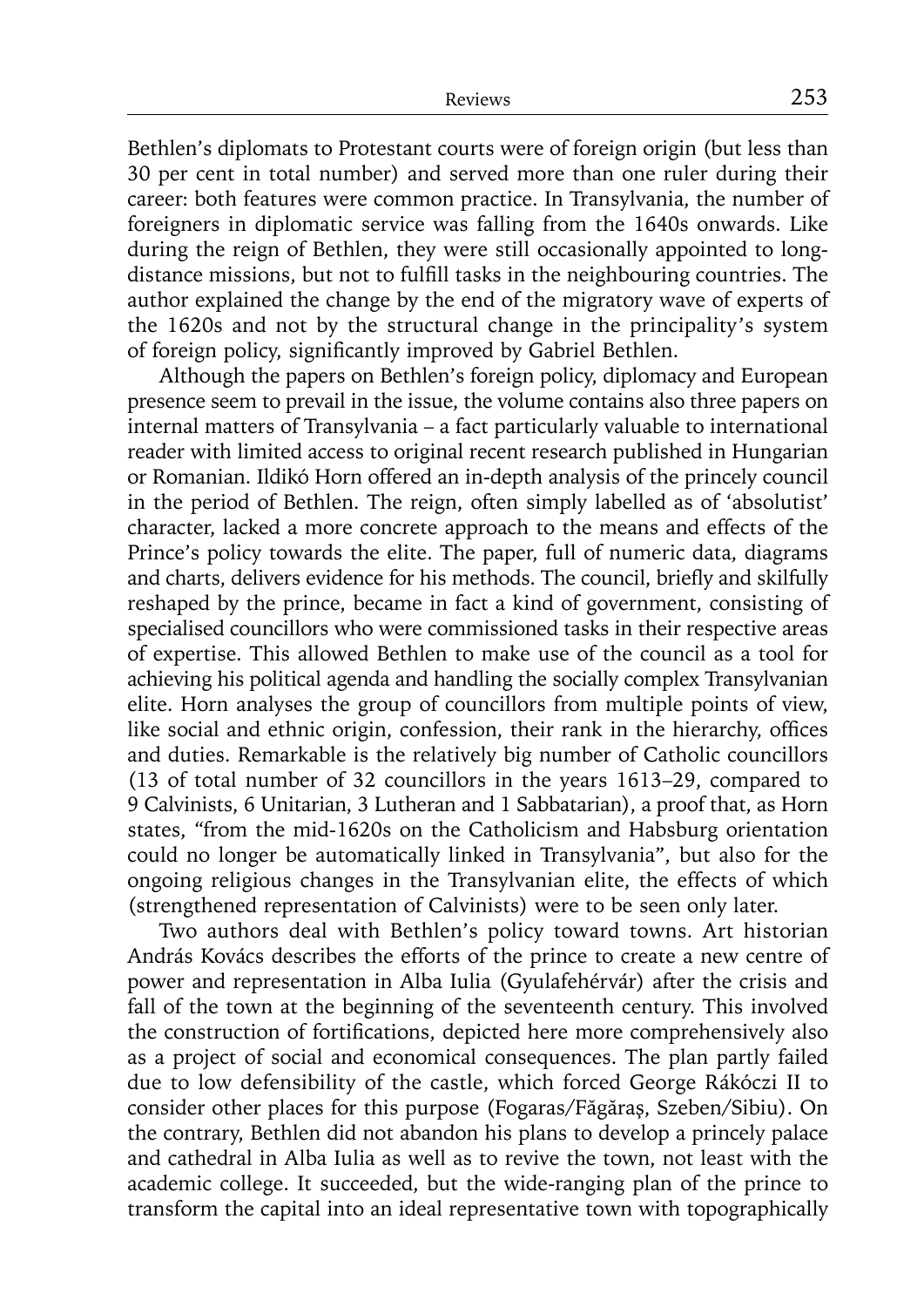Bethlen's diplomats to Protestant courts were of foreign origin (but less than 30 per cent in total number) and served more than one ruler during their career: both features were common practice. In Transylvania, the number of foreigners in diplomatic service was falling from the 1640s onwards. Like during the reign of Bethlen, they were still occasionally appointed to longdistance missions, but not to fulfill tasks in the neighbouring countries. The author explained the change by the end of the migratory wave of experts of the 1620s and not by the structural change in the principality's system of foreign policy, significantly improved by Gabriel Bethlen.

Although the papers on Bethlen's foreign policy, diplomacy and European presence seem to prevail in the issue, the volume contains also three papers on internal matters of Transylvania – a fact particularly valuable to international reader with limited access to original recent research published in Hungarian or Romanian. Ildikó Horn offered an in-depth analysis of the princely council in the period of Bethlen. The reign, often simply labelled as of 'absolutist' character, lacked a more concrete approach to the means and effects of the Prince's policy towards the elite. The paper, full of numeric data, diagrams and charts, delivers evidence for his methods. The council, briefly and skilfully reshaped by the prince, became in fact a kind of government, consisting of specialised councillors who were commissioned tasks in their respective areas of expertise. This allowed Bethlen to make use of the council as a tool for achieving his political agenda and handling the socially complex Transylvanian elite. Horn analyses the group of councillors from multiple points of view, like social and ethnic origin, confession, their rank in the hierarchy, offices and duties. Remarkable is the relatively big number of Catholic councillors (13 of total number of 32 councillors in the years 1613–29, compared to 9 Calvinists, 6 Unitarian, 3 Lutheran and 1 Sabbatarian), a proof that, as Horn states, "from the mid-1620s on the Catholicism and Habsburg orientation could no longer be automatically linked in Transylvania", but also for the ongoing religious changes in the Transylvanian elite, the effects of which (strengthened representation of Calvinists) were to be seen only later.

Two authors deal with Bethlen's policy toward towns. Art historian András Kovács describes the efforts of the prince to create a new centre of power and representation in Alba Iulia (Gyulafehérvár) after the crisis and fall of the town at the beginning of the seventeenth century. This involved the construction of fortifications, depicted here more comprehensively also as a project of social and economical consequences. The plan partly failed due to low defensibility of the castle, which forced George Rákóczi II to consider other places for this purpose (Fogaras/Făgăraş, Szeben/Sibiu). On the contrary, Bethlen did not abandon his plans to develop a princely palace and cathedral in Alba Iulia as well as to revive the town, not least with the academic college. It succeeded, but the wide-ranging plan of the prince to transform the capital into an ideal representative town with topographically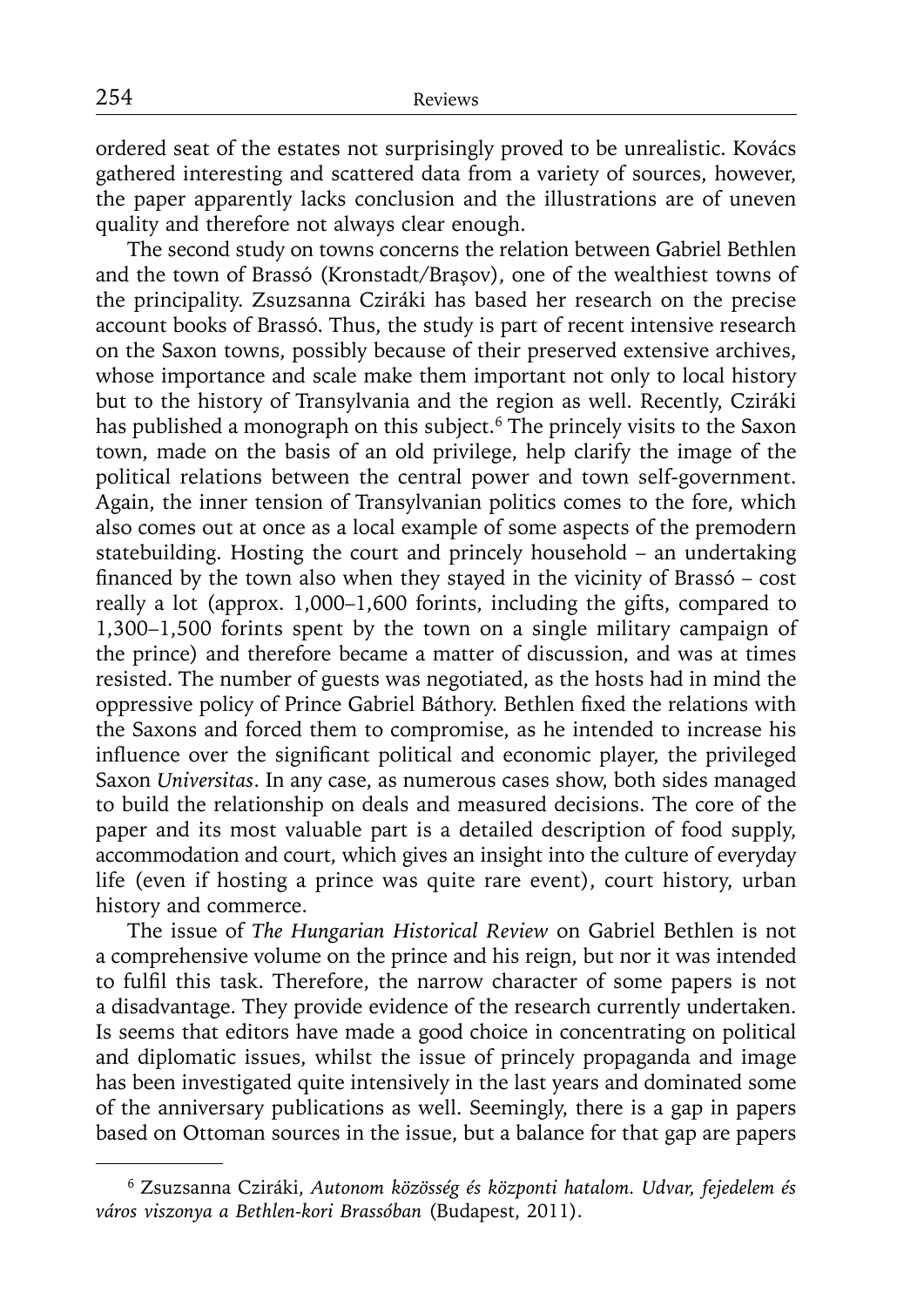ordered seat of the estates not surprisingly proved to be unrealistic. Kovács gathered interesting and scattered data from a variety of sources, however, the paper apparently lacks conclusion and the illustrations are of uneven quality and therefore not always clear enough.

The second study on towns concerns the relation between Gabriel Bethlen and the town of Brassó (Kronstadt/Braşov), one of the wealthiest towns of the principality. Zsuzsanna Cziráki has based her research on the precise account books of Brassó. Thus, the study is part of recent intensive research on the Saxon towns, possibly because of their preserved extensive archives, whose importance and scale make them important not only to local history but to the history of Transylvania and the region as well. Recently, Cziráki has published a monograph on this subject.<sup>6</sup> The princely visits to the Saxon town, made on the basis of an old privilege, help clarify the image of the political relations between the central power and town self-government. Again, the inner tension of Transylvanian politics comes to the fore, which also comes out at once as a local example of some aspects of the premodern statebuilding. Hosting the court and princely household – an undertaking financed by the town also when they stayed in the vicinity of Brassó –  $cost$ really a lot (approx. 1,000–1,600 forints, including the gifts, compared to 1,300–1,500 forints spent by the town on a single military campaign of the prince) and therefore became a matter of discussion, and was at times resisted. The number of guests was negotiated, as the hosts had in mind the oppressive policy of Prince Gabriel Báthory. Bethlen fixed the relations with the Saxons and forced them to compromise, as he intended to increase his influence over the significant political and economic player, the privileged Saxon *Universitas*. In any case, as numerous cases show, both sides managed to build the relationship on deals and measured decisions. The core of the paper and its most valuable part is a detailed description of food supply, accommodation and court, which gives an insight into the culture of everyday life (even if hosting a prince was quite rare event), court history, urban history and commerce.

The issue of *The Hungarian Historical Review* on Gabriel Bethlen is not a comprehensive volume on the prince and his reign, but nor it was intended to fulfil this task. Therefore, the narrow character of some papers is not a disadvantage. They provide evidence of the research currently undertaken. Is seems that editors have made a good choice in concentrating on political and diplomatic issues, whilst the issue of princely propaganda and image has been investigated quite intensively in the last years and dominated some of the anniversary publications as well. Seemingly, there is a gap in papers based on Ottoman sources in the issue, but a balance for that gap are papers

<sup>6</sup> Zsuzsanna Cziráki, *Autonom közösség és központi hatalom. Udvar, fejedelem és város viszonya a Bethlen-kori Brassóban* (Budapest, 2011).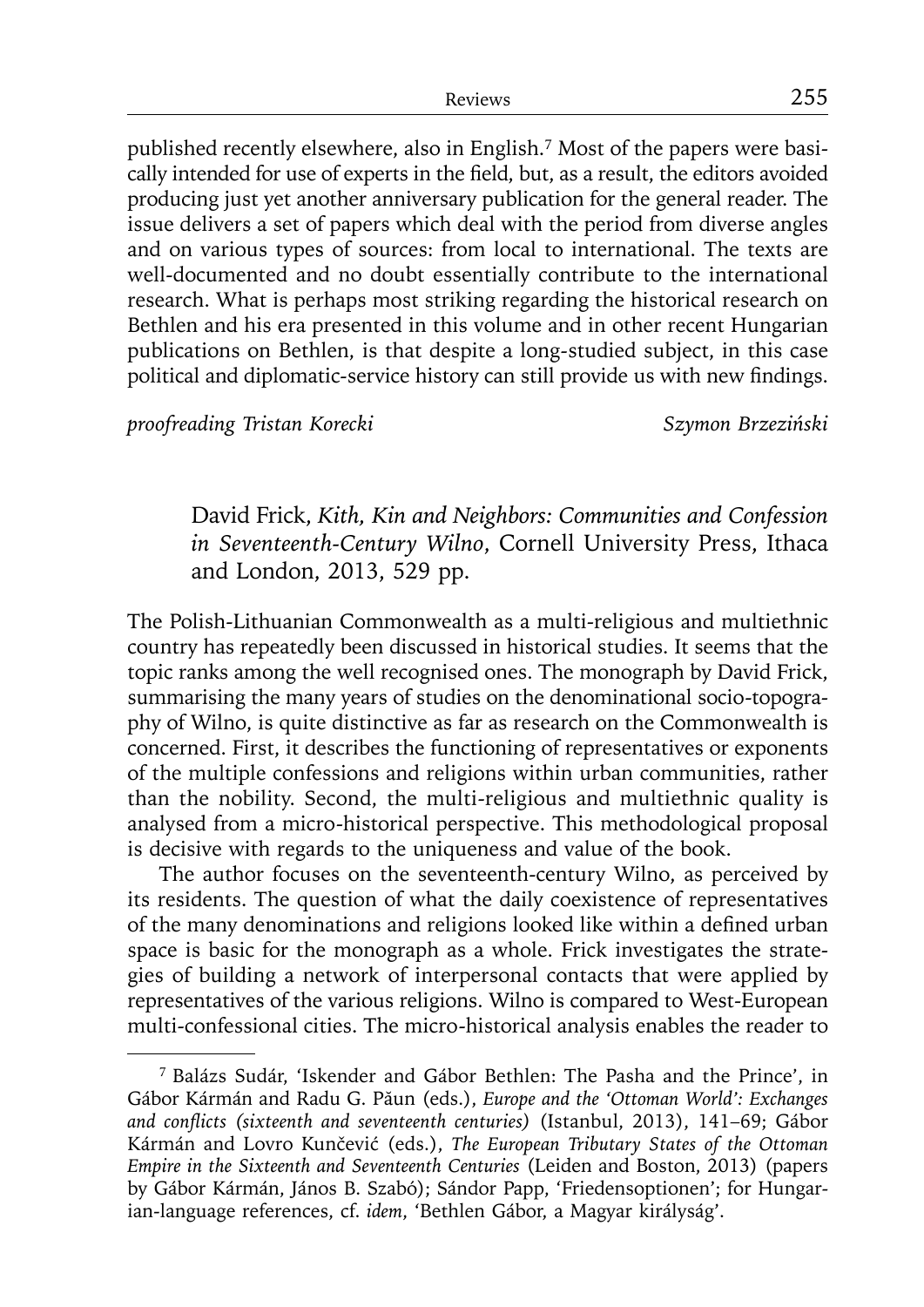published recently elsewhere, also in English.7 Most of the papers were basically intended for use of experts in the field, but, as a result, the editors avoided producing just yet another anniversary publication for the general reader. The issue delivers a set of papers which deal with the period from diverse angles and on various types of sources: from local to international. The texts are well-documented and no doubt essentially contribute to the international research. What is perhaps most striking regarding the historical research on Bethlen and his era presented in this volume and in other recent Hungarian publications on Bethlen, is that despite a long-studied subject, in this case political and diplomatic-service history can still provide us with new findings.

*proofreading Tristan Korecki Szymon Brzeziński*

David Frick, *Kith, Kin and Neighbors: Communities and Confession in Seventeenth-Century Wilno*, Cornell University Press, Ithaca and London, 2013, 529 pp.

The Polish-Lithuanian Commonwealth as a multi-religious and multiethnic country has repeatedly been discussed in historical studies. It seems that the topic ranks among the well recognised ones. The monograph by David Frick, summarising the many years of studies on the denominational socio-topography of Wilno, is quite distinctive as far as research on the Commonwealth is concerned. First, it describes the functioning of representatives or exponents of the multiple confessions and religions within urban communities, rather than the nobility. Second, the multi-religious and multiethnic quality is analysed from a micro-historical perspective. This methodological proposal is decisive with regards to the uniqueness and value of the book.

The author focuses on the seventeenth-century Wilno, as perceived by its residents. The question of what the daily coexistence of representatives of the many denominations and religions looked like within a defined urban space is basic for the monograph as a whole. Frick investigates the strategies of building a network of interpersonal contacts that were applied by representatives of the various religions. Wilno is compared to West-European multi-confessional cities. The micro-historical analysis enables the reader to

<sup>7</sup> Balázs Sudár, 'Iskender and Gábor Bethlen: The Pasha and the Prince', in Gábor Kármán and Radu G. Păun (eds.), *Europe and the 'Ottoman World': Exchanges and confl icts (sixteenth and seventeenth centuries)* (Istanbul, 2013), 141–69; Gábor Kármán and Lovro Kunčević (eds.), *The European Tributary States of the Ottoman Empire in the Sixteenth and Seventeenth Centuries* (Leiden and Boston, 2013) (papers by Gábor Kármán, János B. Szabó); Sándor Papp, 'Friedensoptionen'; for Hungarian-language references, cf. *idem*, 'Bethlen Gábor, a Magyar királyság'.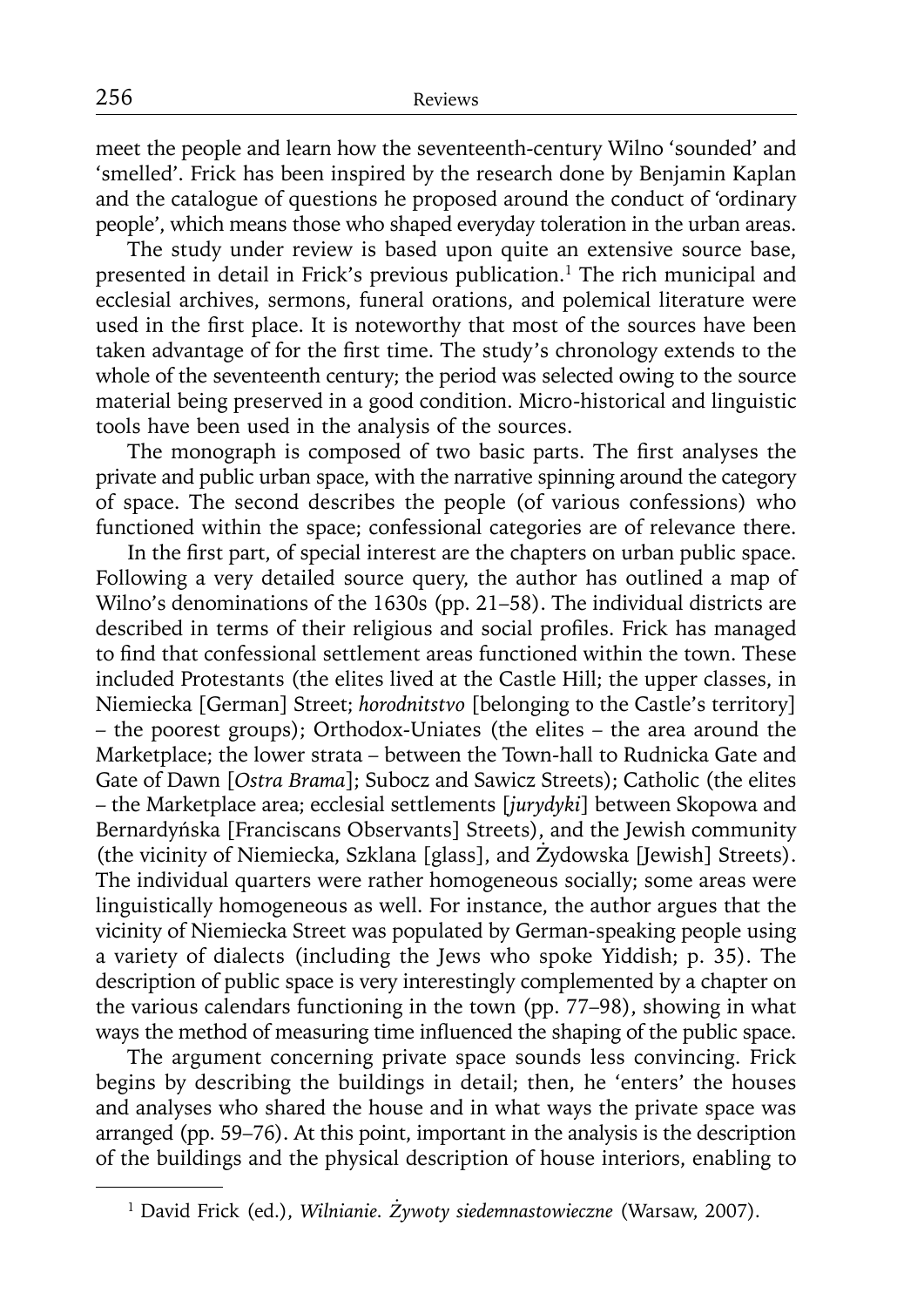meet the people and learn how the seventeenth-century Wilno 'sounded' and 'smelled'. Frick has been inspired by the research done by Benjamin Kaplan and the catalogue of questions he proposed around the conduct of 'ordinary people', which means those who shaped everyday toleration in the urban areas.

The study under review is based upon quite an extensive source base, presented in detail in Frick's previous publication.<sup>1</sup> The rich municipal and ecclesial archives, sermons, funeral orations, and polemical literature were used in the first place. It is noteworthy that most of the sources have been taken advantage of for the first time. The study's chronology extends to the whole of the seventeenth century; the period was selected owing to the source material being preserved in a good condition. Micro-historical and linguistic tools have been used in the analysis of the sources.

The monograph is composed of two basic parts. The first analyses the private and public urban space, with the narrative spinning around the category of space. The second describes the people (of various confessions) who functioned within the space; confessional categories are of relevance there.

In the first part, of special interest are the chapters on urban public space. Following a very detailed source query, the author has outlined a map of Wilno's denominations of the 1630s (pp. 21–58). The individual districts are described in terms of their religious and social profiles. Frick has managed to find that confessional settlement areas functioned within the town. These included Protestants (the elites lived at the Castle Hill; the upper classes, in Niemiecka [German] Street; *horodnitstvo* [belonging to the Castle's territory] – the poorest groups); Orthodox-Uniates (the elites – the area around the Marketplace; the lower strata – between the Town-hall to Rudnicka Gate and Gate of Dawn [*Ostra Brama*]; Subocz and Sawicz Streets); Catholic (the elites – the Marketplace area; ecclesial settlements [*jurydyki*] between Skopowa and Bernardyńska [Franciscans Observants] Streets), and the Jewish community (the vicinity of Niemiecka, Szklana [glass], and Żydowska [Jewish] Streets). The individual quarters were rather homogeneous socially; some areas were linguistically homogeneous as well. For instance, the author argues that the vicinity of Niemiecka Street was populated by German-speaking people using a variety of dialects (including the Jews who spoke Yiddish; p. 35). The description of public space is very interestingly complemented by a chapter on the various calendars functioning in the town (pp. 77–98), showing in what ways the method of measuring time influenced the shaping of the public space.

The argument concerning private space sounds less convincing. Frick begins by describing the buildings in detail; then, he 'enters' the houses and analyses who shared the house and in what ways the private space was arranged (pp. 59–76). At this point, important in the analysis is the description of the buildings and the physical description of house interiors, enabling to

<sup>1</sup> David Frick (ed.), *Wilnianie. Żywoty siedemnastowieczne* (Warsaw, 2007)*.*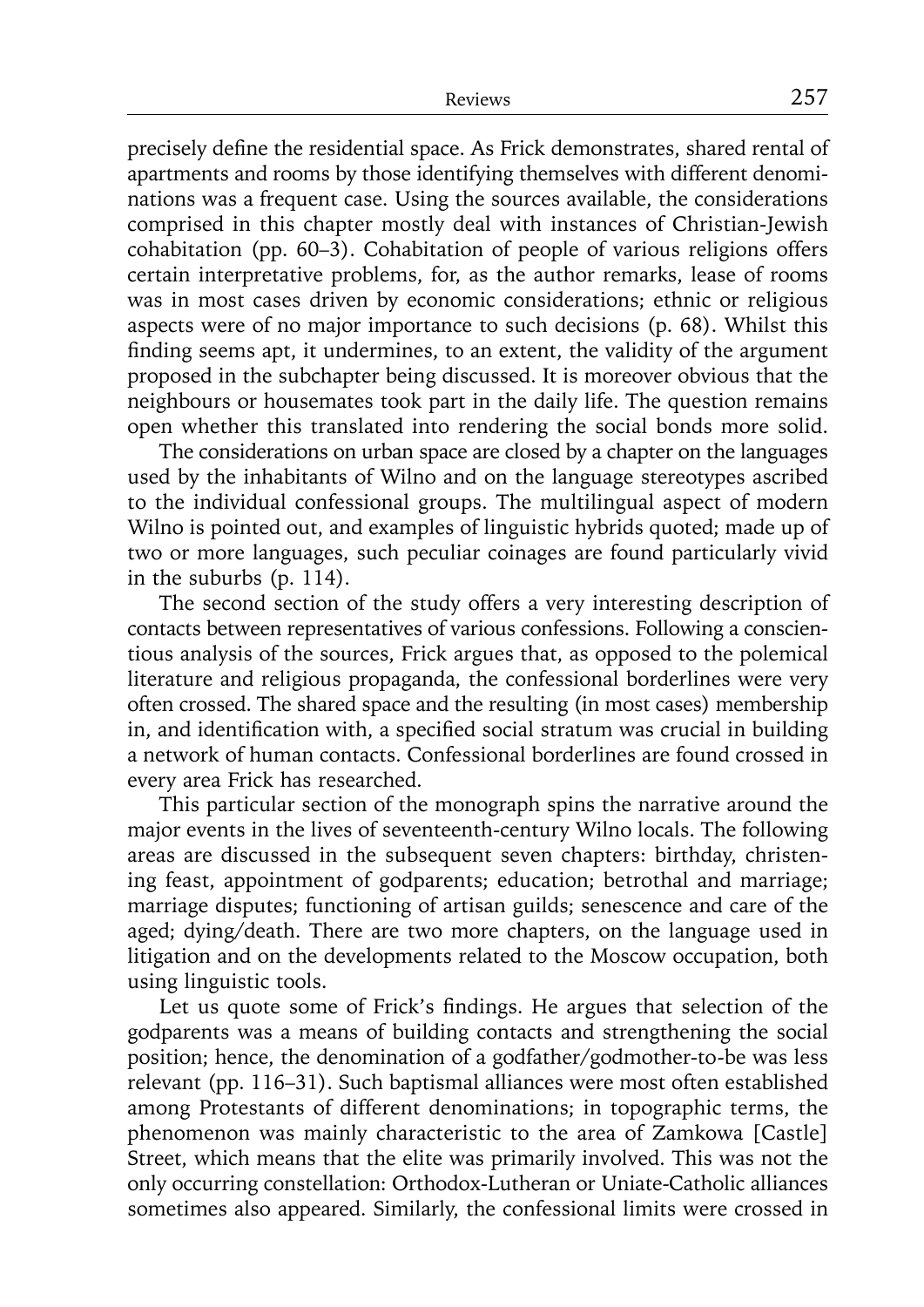precisely define the residential space. As Frick demonstrates, shared rental of apartments and rooms by those identifying themselves with different denominations was a frequent case. Using the sources available, the considerations comprised in this chapter mostly deal with instances of Christian-Jewish cohabitation (pp. 60–3). Cohabitation of people of various religions offers certain interpretative problems, for, as the author remarks, lease of rooms was in most cases driven by economic considerations; ethnic or religious aspects were of no major importance to such decisions (p. 68). Whilst this finding seems apt, it undermines, to an extent, the validity of the argument proposed in the subchapter being discussed. It is moreover obvious that the neighbours or housemates took part in the daily life. The question remains open whether this translated into rendering the social bonds more solid.

The considerations on urban space are closed by a chapter on the languages used by the inhabitants of Wilno and on the language stereotypes ascribed to the individual confessional groups. The multilingual aspect of modern Wilno is pointed out, and examples of linguistic hybrids quoted; made up of two or more languages, such peculiar coinages are found particularly vivid in the suburbs (p. 114).

The second section of the study offers a very interesting description of contacts between representatives of various confessions. Following a conscientious analysis of the sources, Frick argues that, as opposed to the polemical literature and religious propaganda, the confessional borderlines were very often crossed. The shared space and the resulting (in most cases) membership in, and identification with, a specified social stratum was crucial in building a network of human contacts. Confessional borderlines are found crossed in every area Frick has researched.

This particular section of the monograph spins the narrative around the major events in the lives of seventeenth-century Wilno locals. The following areas are discussed in the subsequent seven chapters: birthday, christening feast, appointment of godparents; education; betrothal and marriage; marriage disputes; functioning of artisan guilds; senescence and care of the aged; dying/death. There are two more chapters, on the language used in litigation and on the developments related to the Moscow occupation, both using linguistic tools.

Let us quote some of Frick's findings. He argues that selection of the godparents was a means of building contacts and strengthening the social position; hence, the denomination of a godfather/godmother-to-be was less relevant (pp. 116–31). Such baptismal alliances were most often established among Protestants of different denominations; in topographic terms, the phenomenon was mainly characteristic to the area of Zamkowa [Castle] Street, which means that the elite was primarily involved. This was not the only occurring constellation: Orthodox-Lutheran or Uniate-Catholic alliances sometimes also appeared. Similarly, the confessional limits were crossed in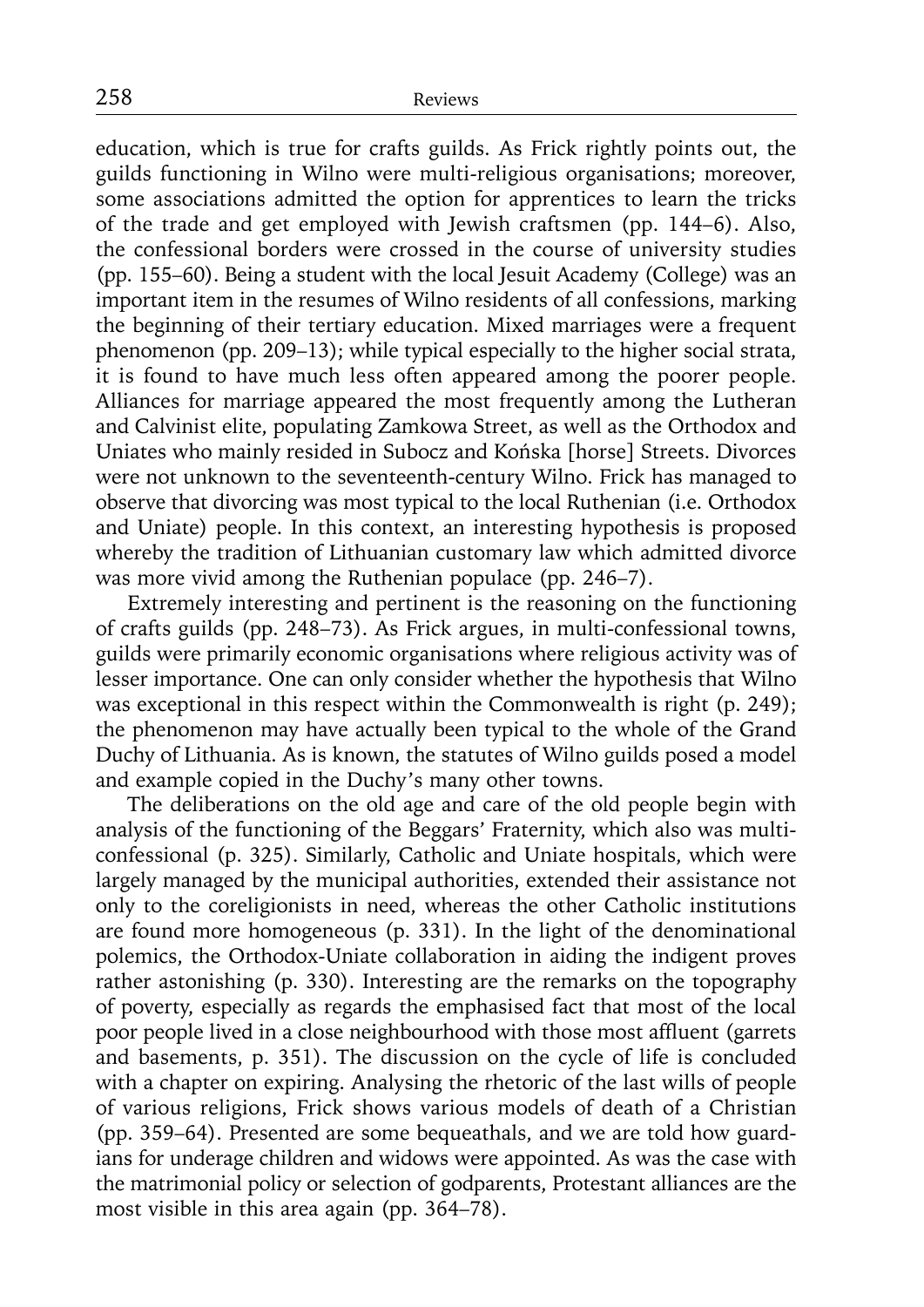education, which is true for crafts guilds. As Frick rightly points out, the guilds functioning in Wilno were multi-religious organisations; moreover, some associations admitted the option for apprentices to learn the tricks of the trade and get employed with Jewish craftsmen (pp. 144–6). Also, the confessional borders were crossed in the course of university studies (pp. 155–60). Being a student with the local Jesuit Academy (College) was an important item in the resumes of Wilno residents of all confessions, marking the beginning of their tertiary education. Mixed marriages were a frequent phenomenon (pp. 209–13); while typical especially to the higher social strata, it is found to have much less often appeared among the poorer people. Alliances for marriage appeared the most frequently among the Lutheran and Calvinist elite, populating Zamkowa Street, as well as the Orthodox and Uniates who mainly resided in Subocz and Końska [horse] Streets. Divorces were not unknown to the seventeenth-century Wilno. Frick has managed to observe that divorcing was most typical to the local Ruthenian (i.e. Orthodox and Uniate) people. In this context, an interesting hypothesis is proposed whereby the tradition of Lithuanian customary law which admitted divorce was more vivid among the Ruthenian populace (pp. 246–7).

Extremely interesting and pertinent is the reasoning on the functioning of crafts guilds (pp. 248–73). As Frick argues, in multi-confessional towns, guilds were primarily economic organisations where religious activity was of lesser importance. One can only consider whether the hypothesis that Wilno was exceptional in this respect within the Commonwealth is right (p. 249); the phenomenon may have actually been typical to the whole of the Grand Duchy of Lithuania. As is known, the statutes of Wilno guilds posed a model and example copied in the Duchy's many other towns.

The deliberations on the old age and care of the old people begin with analysis of the functioning of the Beggars' Fraternity, which also was multiconfessional (p. 325). Similarly, Catholic and Uniate hospitals, which were largely managed by the municipal authorities, extended their assistance not only to the coreligionists in need, whereas the other Catholic institutions are found more homogeneous (p. 331). In the light of the denominational polemics, the Orthodox-Uniate collaboration in aiding the indigent proves rather astonishing (p. 330). Interesting are the remarks on the topography of poverty, especially as regards the emphasised fact that most of the local poor people lived in a close neighbourhood with those most affluent (garrets and basements, p. 351). The discussion on the cycle of life is concluded with a chapter on expiring. Analysing the rhetoric of the last wills of people of various religions, Frick shows various models of death of a Christian (pp. 359–64). Presented are some bequeathals, and we are told how guardians for underage children and widows were appointed. As was the case with the matrimonial policy or selection of godparents, Protestant alliances are the most visible in this area again (pp. 364–78).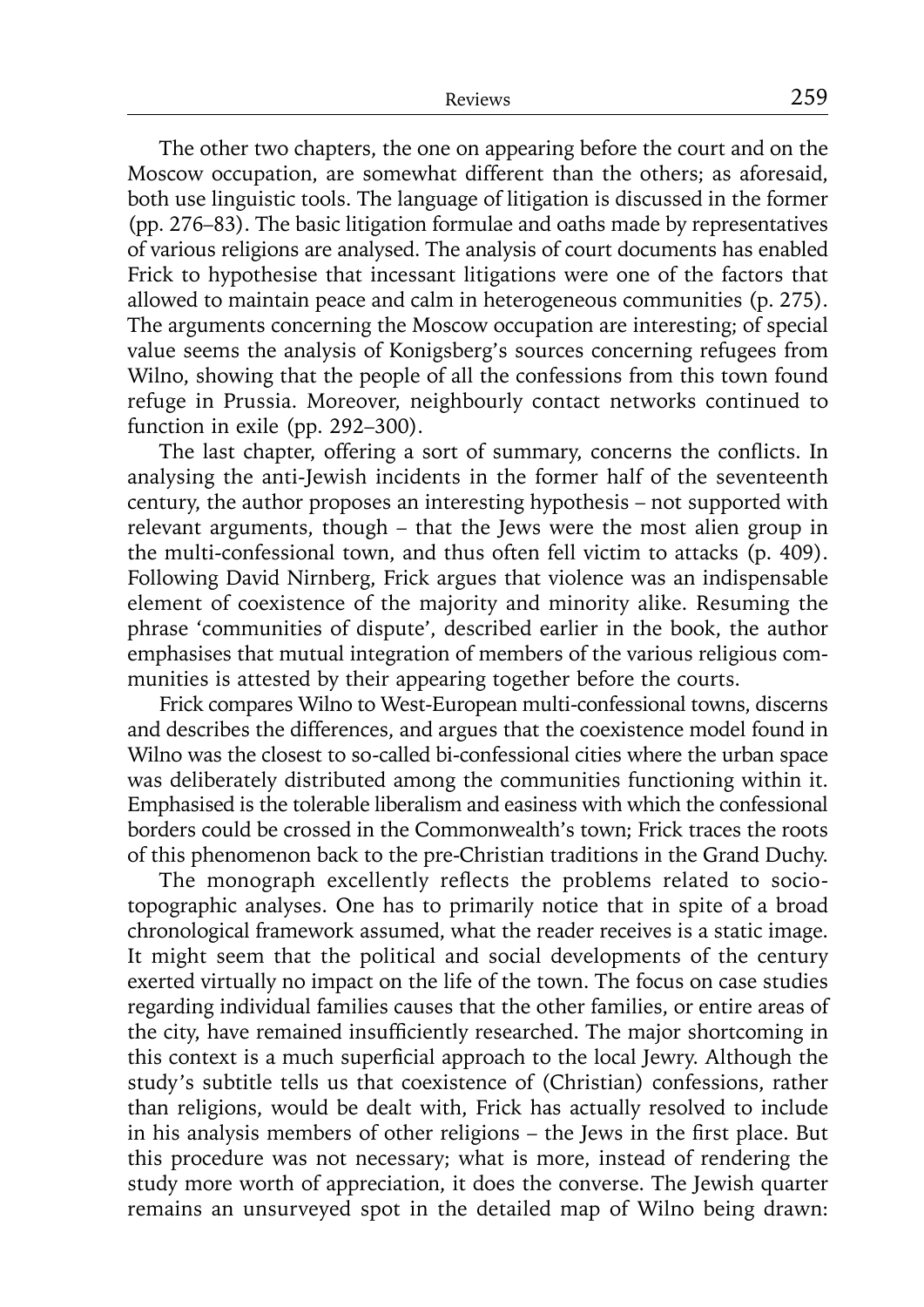The other two chapters, the one on appearing before the court and on the Moscow occupation, are somewhat different than the others; as aforesaid, both use linguistic tools. The language of litigation is discussed in the former (pp. 276–83). The basic litigation formulae and oaths made by representatives of various religions are analysed. The analysis of court documents has enabled Frick to hypothesise that incessant litigations were one of the factors that allowed to maintain peace and calm in heterogeneous communities (p. 275). The arguments concerning the Moscow occupation are interesting; of special value seems the analysis of Konigsberg's sources concerning refugees from Wilno, showing that the people of all the confessions from this town found refuge in Prussia. Moreover, neighbourly contact networks continued to function in exile (pp. 292–300).

The last chapter, offering a sort of summary, concerns the conflicts. In analysing the anti-Jewish incidents in the former half of the seventeenth century, the author proposes an interesting hypothesis – not supported with relevant arguments, though – that the Jews were the most alien group in the multi-confessional town, and thus often fell victim to attacks (p. 409). Following David Nirnberg, Frick argues that violence was an indispensable element of coexistence of the majority and minority alike. Resuming the phrase 'communities of dispute', described earlier in the book, the author emphasises that mutual integration of members of the various religious communities is attested by their appearing together before the courts.

Frick compares Wilno to West-European multi-confessional towns, discerns and describes the differences, and argues that the coexistence model found in Wilno was the closest to so-called bi-confessional cities where the urban space was deliberately distributed among the communities functioning within it. Emphasised is the tolerable liberalism and easiness with which the confessional borders could be crossed in the Commonwealth's town; Frick traces the roots of this phenomenon back to the pre-Christian traditions in the Grand Duchy.

The monograph excellently reflects the problems related to sociotopographic analyses. One has to primarily notice that in spite of a broad chronological framework assumed, what the reader receives is a static image. It might seem that the political and social developments of the century exerted virtually no impact on the life of the town. The focus on case studies regarding individual families causes that the other families, or entire areas of the city, have remained insufficiently researched. The major shortcoming in this context is a much superficial approach to the local Jewry. Although the study's subtitle tells us that coexistence of (Christian) confessions, rather than religions, would be dealt with, Frick has actually resolved to include in his analysis members of other religions - the Jews in the first place. But this procedure was not necessary; what is more, instead of rendering the study more worth of appreciation, it does the converse. The Jewish quarter remains an unsurveyed spot in the detailed map of Wilno being drawn: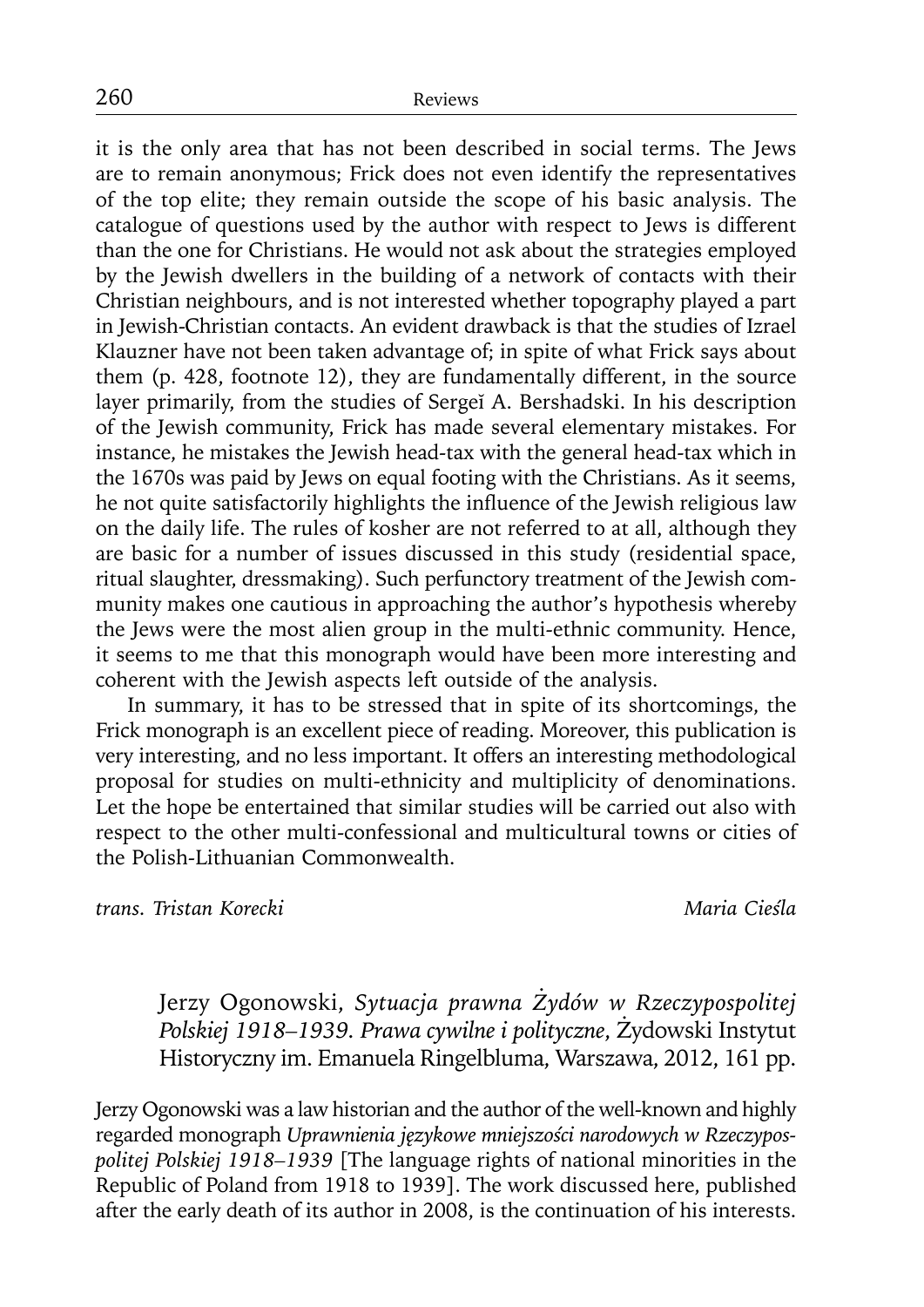it is the only area that has not been described in social terms. The Jews are to remain anonymous; Frick does not even identify the representatives of the top elite; they remain outside the scope of his basic analysis. The catalogue of questions used by the author with respect to Jews is different than the one for Christians. He would not ask about the strategies employed by the Jewish dwellers in the building of a network of contacts with their Christian neighbours, and is not interested whether topography played a part in Jewish-Christian contacts. An evident drawback is that the studies of Izrael Klauzner have not been taken advantage of; in spite of what Frick says about them (p. 428, footnote 12), they are fundamentally different, in the source layer primarily, from the studies of Sergeĭ A. Bershadski. In his description of the Jewish community, Frick has made several elementary mistakes. For instance, he mistakes the Jewish head-tax with the general head-tax which in the 1670s was paid by Jews on equal footing with the Christians. As it seems, he not quite satisfactorily highlights the influence of the Jewish religious law on the daily life. The rules of kosher are not referred to at all, although they are basic for a number of issues discussed in this study (residential space, ritual slaughter, dressmaking). Such perfunctory treatment of the Jewish community makes one cautious in approaching the author's hypothesis whereby the Jews were the most alien group in the multi-ethnic community. Hence, it seems to me that this monograph would have been more interesting and coherent with the Jewish aspects left outside of the analysis.

In summary, it has to be stressed that in spite of its shortcomings, the Frick monograph is an excellent piece of reading. Moreover, this publication is very interesting, and no less important. It offers an interesting methodological proposal for studies on multi-ethnicity and multiplicity of denominations. Let the hope be entertained that similar studies will be carried out also with respect to the other multi-confessional and multicultural towns or cities of the Polish-Lithuanian Commonwealth.

*trans. Tristan Korecki Maria Cieśla*

Jerzy Ogonowski, *Sytuacja prawna Żydów w Rzeczypospolitej Polskiej 1918–1939. Prawa cywilne i polityczne*, Żydowski Instytut Historyczny im. Emanuela Ringelbluma, Warszawa, 2012, 161 pp.

Jerzy Ogonowski was a law historian and the author of the well-known and highly regarded monograph *Uprawnienia językowe mniejszości narodowych w Rzeczypospolitej Polskiej 1918–1939* [The language rights of national minorities in the Republic of Poland from 1918 to 1939]. The work discussed here, published after the early death of its author in 2008, is the continuation of his interests.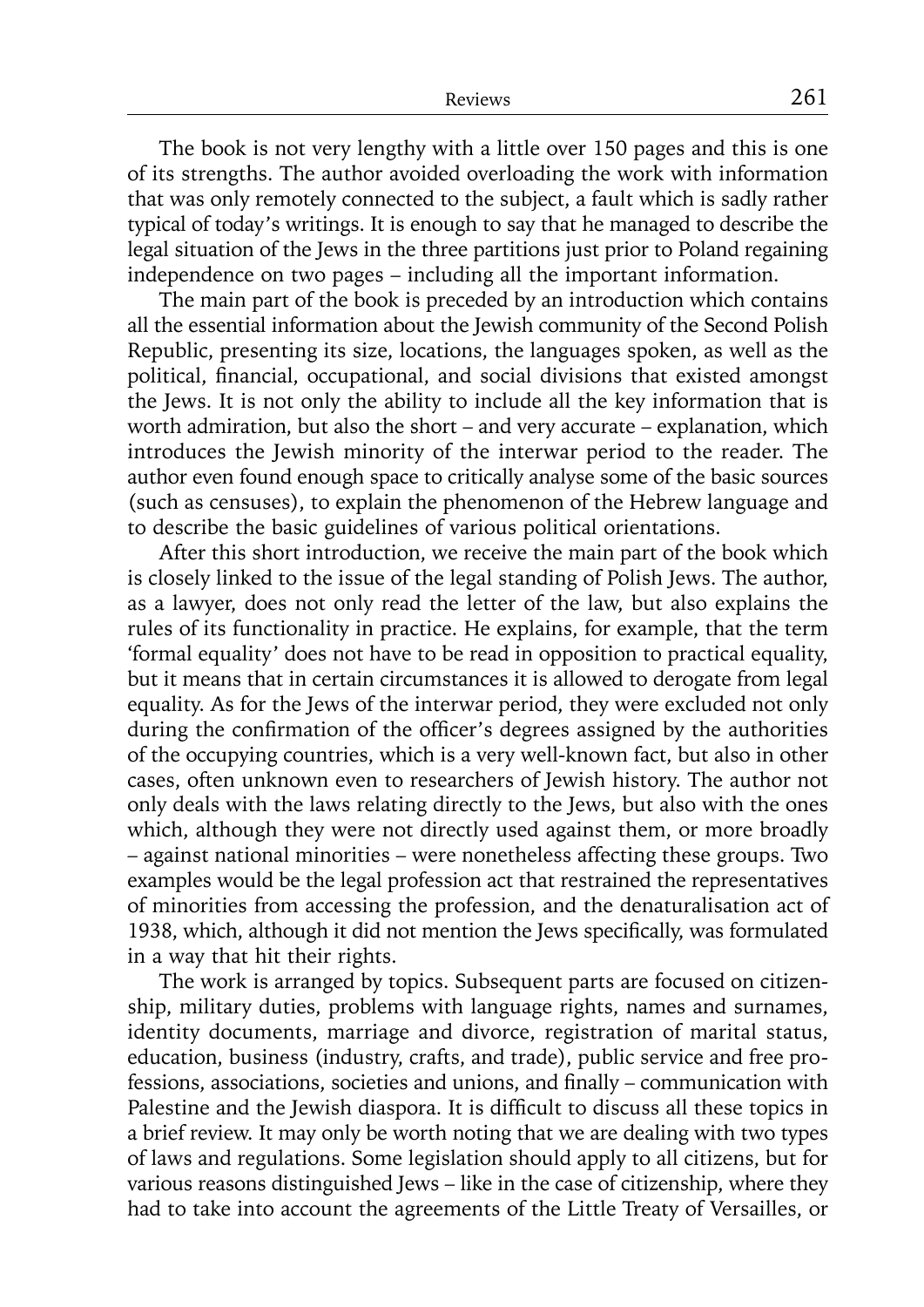The book is not very lengthy with a little over 150 pages and this is one of its strengths. The author avoided overloading the work with information that was only remotely connected to the subject, a fault which is sadly rather typical of today's writings. It is enough to say that he managed to describe the legal situation of the Jews in the three partitions just prior to Poland regaining independence on two pages – including all the important information.

The main part of the book is preceded by an introduction which contains all the essential information about the Jewish community of the Second Polish Republic, presenting its size, locations, the languages spoken, as well as the political, financial, occupational, and social divisions that existed amongst the Jews. It is not only the ability to include all the key information that is worth admiration, but also the short – and very accurate – explanation, which introduces the Jewish minority of the interwar period to the reader. The author even found enough space to critically analyse some of the basic sources (such as censuses), to explain the phenomenon of the Hebrew language and to describe the basic guidelines of various political orientations.

After this short introduction, we receive the main part of the book which is closely linked to the issue of the legal standing of Polish Jews. The author, as a lawyer, does not only read the letter of the law, but also explains the rules of its functionality in practice. He explains, for example, that the term 'formal equality' does not have to be read in opposition to practical equality, but it means that in certain circumstances it is allowed to derogate from legal equality. As for the Jews of the interwar period, they were excluded not only during the confirmation of the officer's degrees assigned by the authorities of the occupying countries, which is a very well-known fact, but also in other cases, often unknown even to researchers of Jewish history. The author not only deals with the laws relating directly to the Jews, but also with the ones which, although they were not directly used against them, or more broadly – against national minorities – were nonetheless affecting these groups. Two examples would be the legal profession act that restrained the representatives of minorities from accessing the profession, and the denaturalisation act of 1938, which, although it did not mention the Jews specifically, was formulated in a way that hit their rights.

The work is arranged by topics. Subsequent parts are focused on citizenship, military duties, problems with language rights, names and surnames, identity documents, marriage and divorce, registration of marital status, education, business (industry, crafts, and trade), public service and free professions, associations, societies and unions, and finally – communication with Palestine and the Jewish diaspora. It is difficult to discuss all these topics in a brief review. It may only be worth noting that we are dealing with two types of laws and regulations. Some legislation should apply to all citizens, but for various reasons distinguished Jews – like in the case of citizenship, where they had to take into account the agreements of the Little Treaty of Versailles, or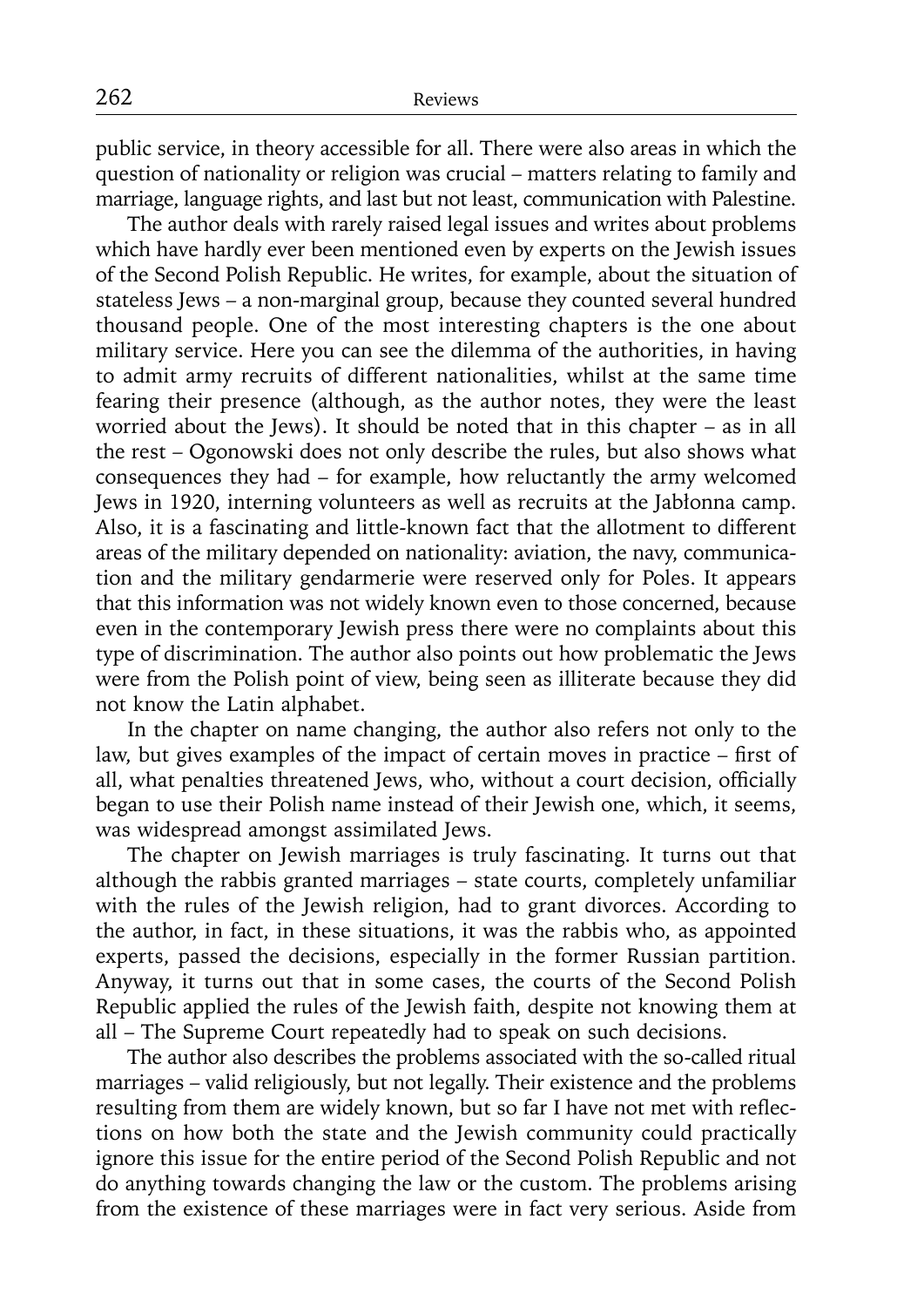public service, in theory accessible for all. There were also areas in which the question of nationality or religion was crucial – matters relating to family and marriage, language rights, and last but not least, communication with Palestine.

The author deals with rarely raised legal issues and writes about problems which have hardly ever been mentioned even by experts on the Jewish issues of the Second Polish Republic. He writes, for example, about the situation of stateless Jews – a non-marginal group, because they counted several hundred thousand people. One of the most interesting chapters is the one about military service. Here you can see the dilemma of the authorities, in having to admit army recruits of different nationalities, whilst at the same time fearing their presence (although, as the author notes, they were the least worried about the Jews). It should be noted that in this chapter – as in all the rest – Ogonowski does not only describe the rules, but also shows what consequences they had – for example, how reluctantly the army welcomed Jews in 1920, interning volunteers as well as recruits at the Jabłonna camp. Also, it is a fascinating and little-known fact that the allotment to different areas of the military depended on nationality: aviation, the navy, communication and the military gendarmerie were reserved only for Poles. It appears that this information was not widely known even to those concerned, because even in the contemporary Jewish press there were no complaints about this type of discrimination. The author also points out how problematic the Jews were from the Polish point of view, being seen as illiterate because they did not know the Latin alphabet.

In the chapter on name changing, the author also refers not only to the law, but gives examples of the impact of certain moves in practice – first of all, what penalties threatened Jews, who, without a court decision, officially began to use their Polish name instead of their Jewish one, which, it seems, was widespread amongst assimilated Jews.

The chapter on Jewish marriages is truly fascinating. It turns out that although the rabbis granted marriages – state courts, completely unfamiliar with the rules of the Jewish religion, had to grant divorces. According to the author, in fact, in these situations, it was the rabbis who, as appointed experts, passed the decisions, especially in the former Russian partition. Anyway, it turns out that in some cases, the courts of the Second Polish Republic applied the rules of the Jewish faith, despite not knowing them at all – The Supreme Court repeatedly had to speak on such decisions.

The author also describes the problems associated with the so-called ritual marriages – valid religiously, but not legally. Their existence and the problems resulting from them are widely known, but so far I have not met with reflections on how both the state and the Jewish community could practically ignore this issue for the entire period of the Second Polish Republic and not do anything towards changing the law or the custom. The problems arising from the existence of these marriages were in fact very serious. Aside from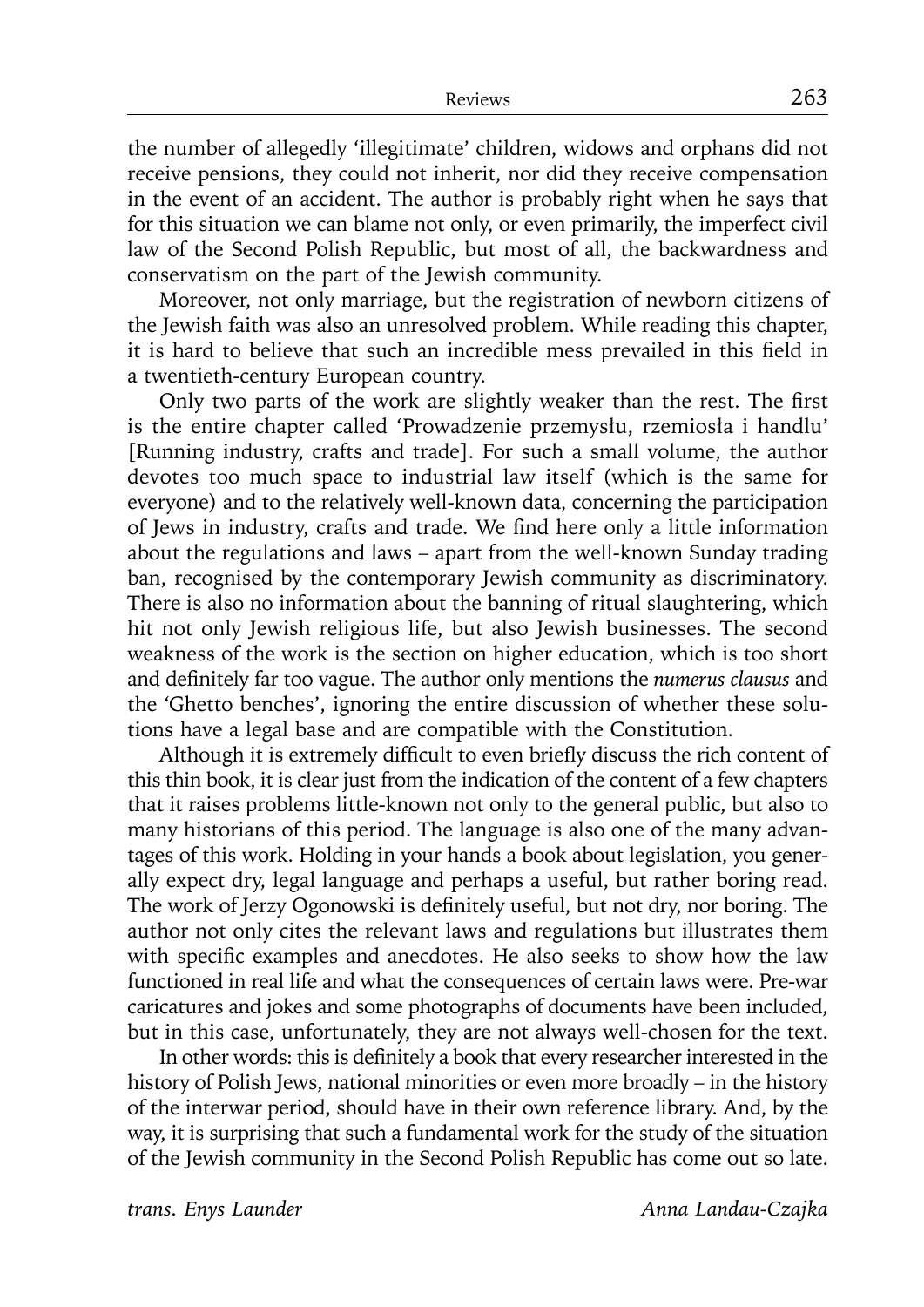the number of allegedly 'illegitimate' children, widows and orphans did not receive pensions, they could not inherit, nor did they receive compensation in the event of an accident. The author is probably right when he says that for this situation we can blame not only, or even primarily, the imperfect civil law of the Second Polish Republic, but most of all, the backwardness and conservatism on the part of the Jewish community.

Moreover, not only marriage, but the registration of newborn citizens of the Jewish faith was also an unresolved problem. While reading this chapter, it is hard to believe that such an incredible mess prevailed in this field in a twentieth-century European country.

Only two parts of the work are slightly weaker than the rest. The first is the entire chapter called 'Prowadzenie przemysłu, rzemiosła i handlu' [Running industry, crafts and trade]. For such a small volume, the author devotes too much space to industrial law itself (which is the same for everyone) and to the relatively well-known data, concerning the participation of Jews in industry, crafts and trade. We find here only a little information about the regulations and laws – apart from the well-known Sunday trading ban, recognised by the contemporary Jewish community as discriminatory. There is also no information about the banning of ritual slaughtering, which hit not only Jewish religious life, but also Jewish businesses. The second weakness of the work is the section on higher education, which is too short and definitely far too vague. The author only mentions the *numerus clausus* and the 'Ghetto benches', ignoring the entire discussion of whether these solutions have a legal base and are compatible with the Constitution.

Although it is extremely difficult to even briefly discuss the rich content of this thin book, it is clear just from the indication of the content of a few chapters that it raises problems little-known not only to the general public, but also to many historians of this period. The language is also one of the many advantages of this work. Holding in your hands a book about legislation, you generally expect dry, legal language and perhaps a useful, but rather boring read. The work of Jerzy Ogonowski is definitely useful, but not dry, nor boring. The author not only cites the relevant laws and regulations but illustrates them with specific examples and anecdotes. He also seeks to show how the law functioned in real life and what the consequences of certain laws were. Pre-war caricatures and jokes and some photographs of documents have been included, but in this case, unfortunately, they are not always well-chosen for the text.

In other words: this is definitely a book that every researcher interested in the history of Polish Jews, national minorities or even more broadly – in the history of the interwar period, should have in their own reference library. And, by the way, it is surprising that such a fundamental work for the study of the situation of the Jewish community in the Second Polish Republic has come out so late.

*trans. Enys Launder Anna Landau-Czajka*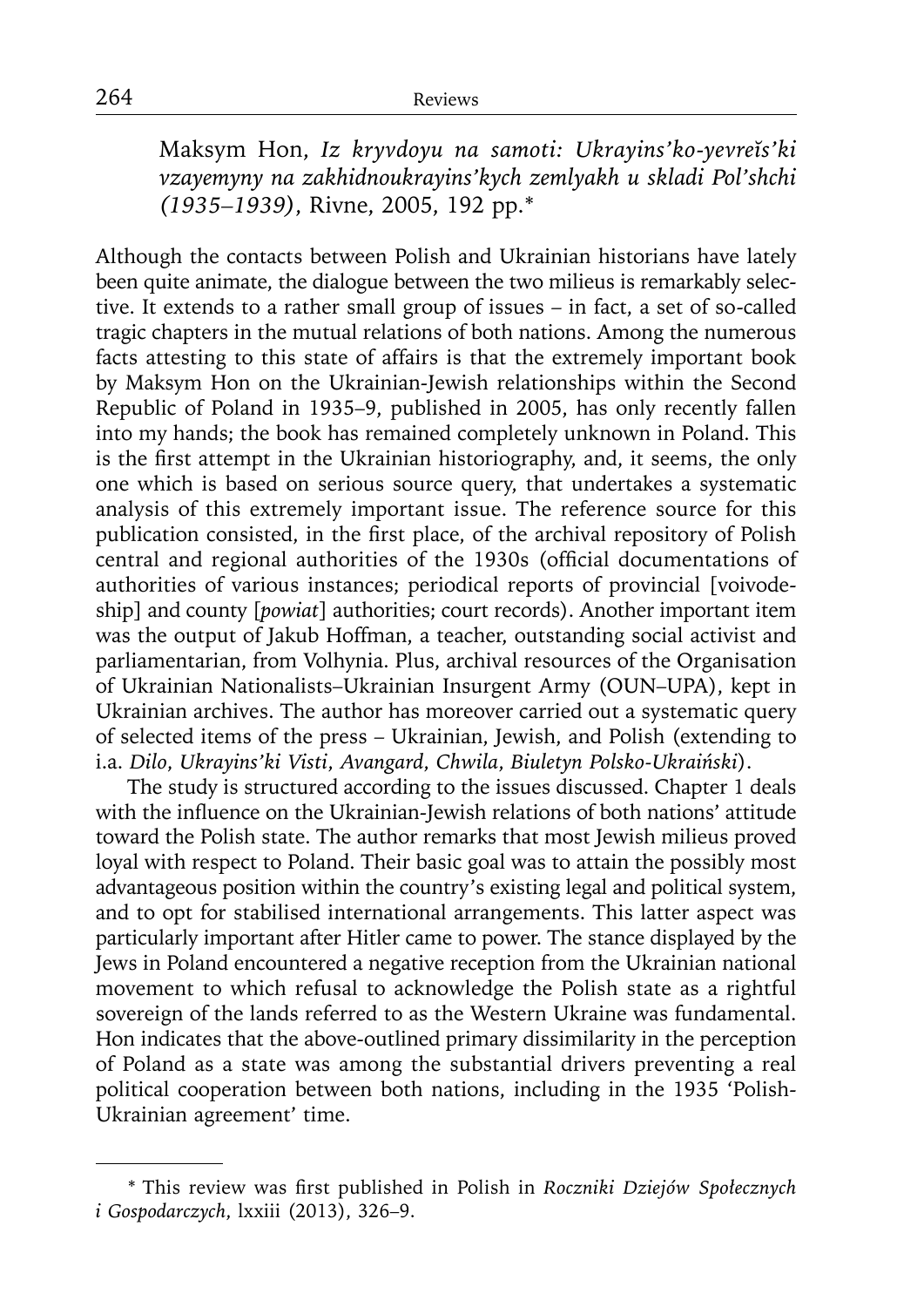Maksym Hon, *Iz kryvdoyu na samoti: Ukrayins'ko-yevreĭs'ki vzayemyny na zakhidnoukrayins'kych zemlyakh u skladi Pol'shchi (1935–1939)*, Rivne, 2005, 192 pp.\*1

Although the contacts between Polish and Ukrainian historians have lately been quite animate, the dialogue between the two milieus is remarkably selective. It extends to a rather small group of issues – in fact, a set of so-called tragic chapters in the mutual relations of both nations. Among the numerous facts attesting to this state of affairs is that the extremely important book by Maksym Hon on the Ukrainian-Jewish relationships within the Second Republic of Poland in 1935–9, published in 2005, has only recently fallen into my hands; the book has remained completely unknown in Poland. This is the first attempt in the Ukrainian historiography, and, it seems, the only one which is based on serious source query, that undertakes a systematic analysis of this extremely important issue. The reference source for this publication consisted, in the first place, of the archival repository of Polish central and regional authorities of the 1930s (official documentations of authorities of various instances; periodical reports of provincial [voivodeship] and county [*powiat*] authorities; court records). Another important item was the output of Jakub Hoffman, a teacher, outstanding social activist and parliamentarian, from Volhynia. Plus, archival resources of the Organisation of Ukrainian Nationalists–Ukrainian Insurgent Army (OUN–UPA), kept in Ukrainian archives. The author has moreover carried out a systematic query of selected items of the press – Ukrainian, Jewish, and Polish (extending to i.a. *Dilo*, *Ukrayins'ki Visti*, *Avangard*, *Chwila*, *Biuletyn Polsko-Ukraiński*).

The study is structured according to the issues discussed. Chapter 1 deals with the influence on the Ukrainian-Jewish relations of both nations' attitude toward the Polish state. The author remarks that most Jewish milieus proved loyal with respect to Poland. Their basic goal was to attain the possibly most advantageous position within the country's existing legal and political system, and to opt for stabilised international arrangements. This latter aspect was particularly important after Hitler came to power. The stance displayed by the Jews in Poland encountered a negative reception from the Ukrainian national movement to which refusal to acknowledge the Polish state as a rightful sovereign of the lands referred to as the Western Ukraine was fundamental. Hon indicates that the above-outlined primary dissimilarity in the perception of Poland as a state was among the substantial drivers preventing a real political cooperation between both nations, including in the 1935 'Polish-Ukrainian agreement' time.

<sup>\*</sup> This review was fi rst published in Polish in *Roczniki Dziejów Społecznych i Gospodarczych*, lxxiii (2013), 326–9.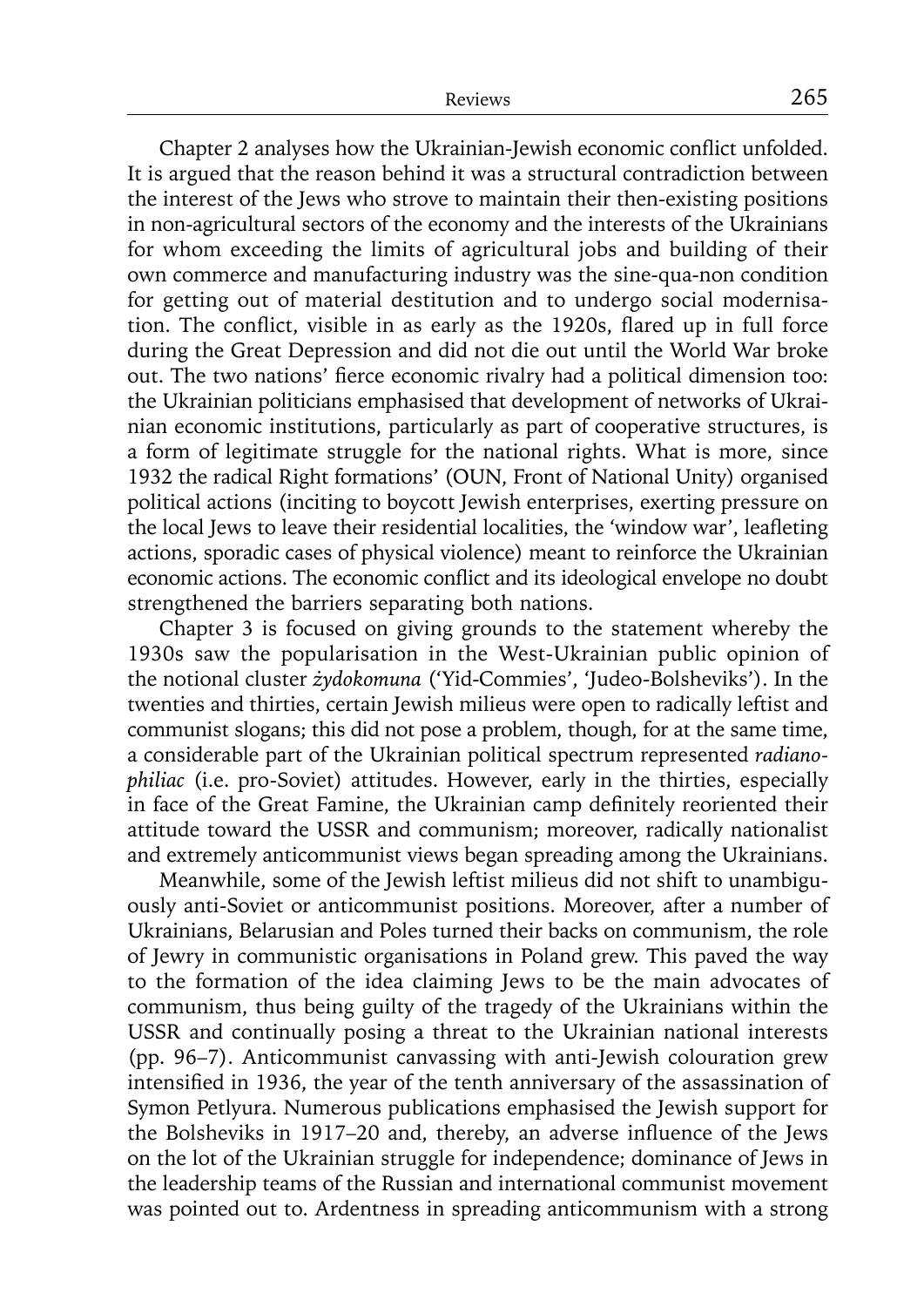Chapter 2 analyses how the Ukrainian-Jewish economic conflict unfolded. It is argued that the reason behind it was a structural contradiction between the interest of the Jews who strove to maintain their then-existing positions in non-agricultural sectors of the economy and the interests of the Ukrainians for whom exceeding the limits of agricultural jobs and building of their own commerce and manufacturing industry was the sine-qua-non condition for getting out of material destitution and to undergo social modernisation. The conflict, visible in as early as the 1920s, flared up in full force during the Great Depression and did not die out until the World War broke out. The two nations' fierce economic rivalry had a political dimension too: the Ukrainian politicians emphasised that development of networks of Ukrainian economic institutions, particularly as part of cooperative structures, is a form of legitimate struggle for the national rights. What is more, since 1932 the radical Right formations' (OUN, Front of National Unity) organised political actions (inciting to boycott Jewish enterprises, exerting pressure on the local Jews to leave their residential localities, the 'window war', leafleting actions, sporadic cases of physical violence) meant to reinforce the Ukrainian economic actions. The economic conflict and its ideological envelope no doubt strengthened the barriers separating both nations.

Chapter 3 is focused on giving grounds to the statement whereby the 1930s saw the popularisation in the West-Ukrainian public opinion of the notional cluster *żydokomuna* ('Yid-Commies', 'Judeo-Bolsheviks'). In the twenties and thirties, certain Jewish milieus were open to radically leftist and communist slogans; this did not pose a problem, though, for at the same time, a considerable part of the Ukrainian political spectrum represented *radianophiliac* (i.e. pro-Soviet) attitudes. However, early in the thirties, especially in face of the Great Famine, the Ukrainian camp definitely reoriented their attitude toward the USSR and communism; moreover, radically nationalist and extremely anticommunist views began spreading among the Ukrainians.

Meanwhile, some of the Jewish leftist milieus did not shift to unambiguously anti-Soviet or anticommunist positions. Moreover, after a number of Ukrainians, Belarusian and Poles turned their backs on communism, the role of Jewry in communistic organisations in Poland grew. This paved the way to the formation of the idea claiming Jews to be the main advocates of communism, thus being guilty of the tragedy of the Ukrainians within the USSR and continually posing a threat to the Ukrainian national interests (pp. 96–7). Anticommunist canvassing with anti-Jewish colouration grew intensified in 1936, the year of the tenth anniversary of the assassination of Symon Petlyura. Numerous publications emphasised the Jewish support for the Bolsheviks in 1917–20 and, thereby, an adverse influence of the Jews on the lot of the Ukrainian struggle for independence; dominance of Jews in the leadership teams of the Russian and international communist movement was pointed out to. Ardentness in spreading anticommunism with a strong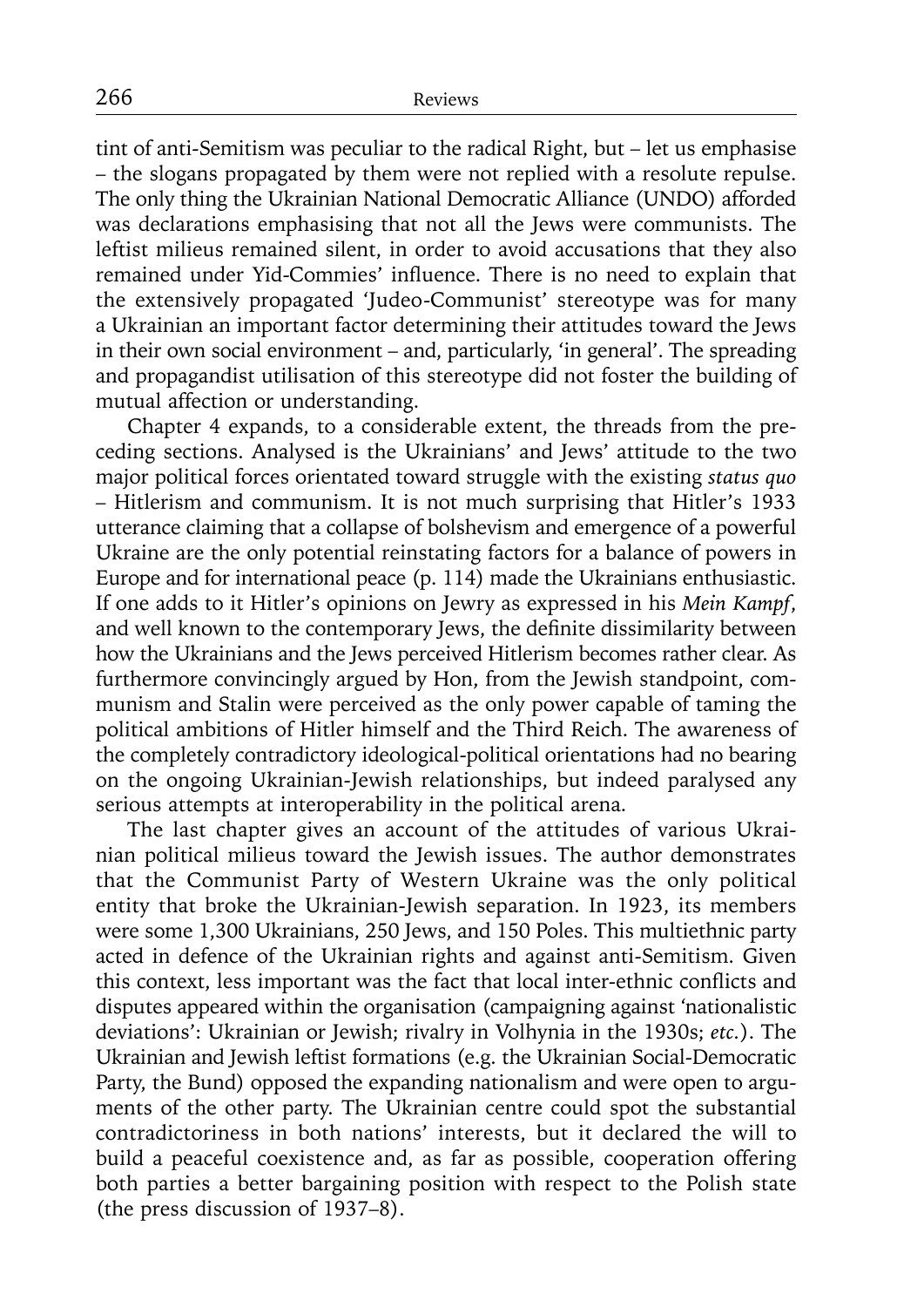tint of anti-Semitism was peculiar to the radical Right, but – let us emphasise – the slogans propagated by them were not replied with a resolute repulse. The only thing the Ukrainian National Democratic Alliance (UNDO) afforded was declarations emphasising that not all the Jews were communists. The leftist milieus remained silent, in order to avoid accusations that they also remained under Yid-Commies' influence. There is no need to explain that the extensively propagated 'Judeo-Communist' stereotype was for many a Ukrainian an important factor determining their attitudes toward the Jews in their own social environment – and, particularly, 'in general'. The spreading and propagandist utilisation of this stereotype did not foster the building of mutual affection or understanding.

Chapter 4 expands, to a considerable extent, the threads from the preceding sections. Analysed is the Ukrainians' and Jews' attitude to the two major political forces orientated toward struggle with the existing *status quo* – Hitlerism and communism. It is not much surprising that Hitler's 1933 utterance claiming that a collapse of bolshevism and emergence of a powerful Ukraine are the only potential reinstating factors for a balance of powers in Europe and for international peace (p. 114) made the Ukrainians enthusiastic. If one adds to it Hitler's opinions on Jewry as expressed in his *Mein Kampf*, and well known to the contemporary Jews, the definite dissimilarity between how the Ukrainians and the Jews perceived Hitlerism becomes rather clear. As furthermore convincingly argued by Hon, from the Jewish standpoint, communism and Stalin were perceived as the only power capable of taming the political ambitions of Hitler himself and the Third Reich. The awareness of the completely contradictory ideological-political orientations had no bearing on the ongoing Ukrainian-Jewish relationships, but indeed paralysed any serious attempts at interoperability in the political arena.

The last chapter gives an account of the attitudes of various Ukrainian political milieus toward the Jewish issues. The author demonstrates that the Communist Party of Western Ukraine was the only political entity that broke the Ukrainian-Jewish separation. In 1923, its members were some 1,300 Ukrainians, 250 Jews, and 150 Poles. This multiethnic party acted in defence of the Ukrainian rights and against anti-Semitism. Given this context, less important was the fact that local inter-ethnic conflicts and disputes appeared within the organisation (campaigning against 'nationalistic deviations': Ukrainian or Jewish; rivalry in Volhynia in the 1930s; *etc.*). The Ukrainian and Jewish leftist formations (e.g. the Ukrainian Social-Democratic Party, the Bund) opposed the expanding nationalism and were open to arguments of the other party. The Ukrainian centre could spot the substantial contradictoriness in both nations' interests, but it declared the will to build a peaceful coexistence and, as far as possible, cooperation offering both parties a better bargaining position with respect to the Polish state (the press discussion of 1937–8).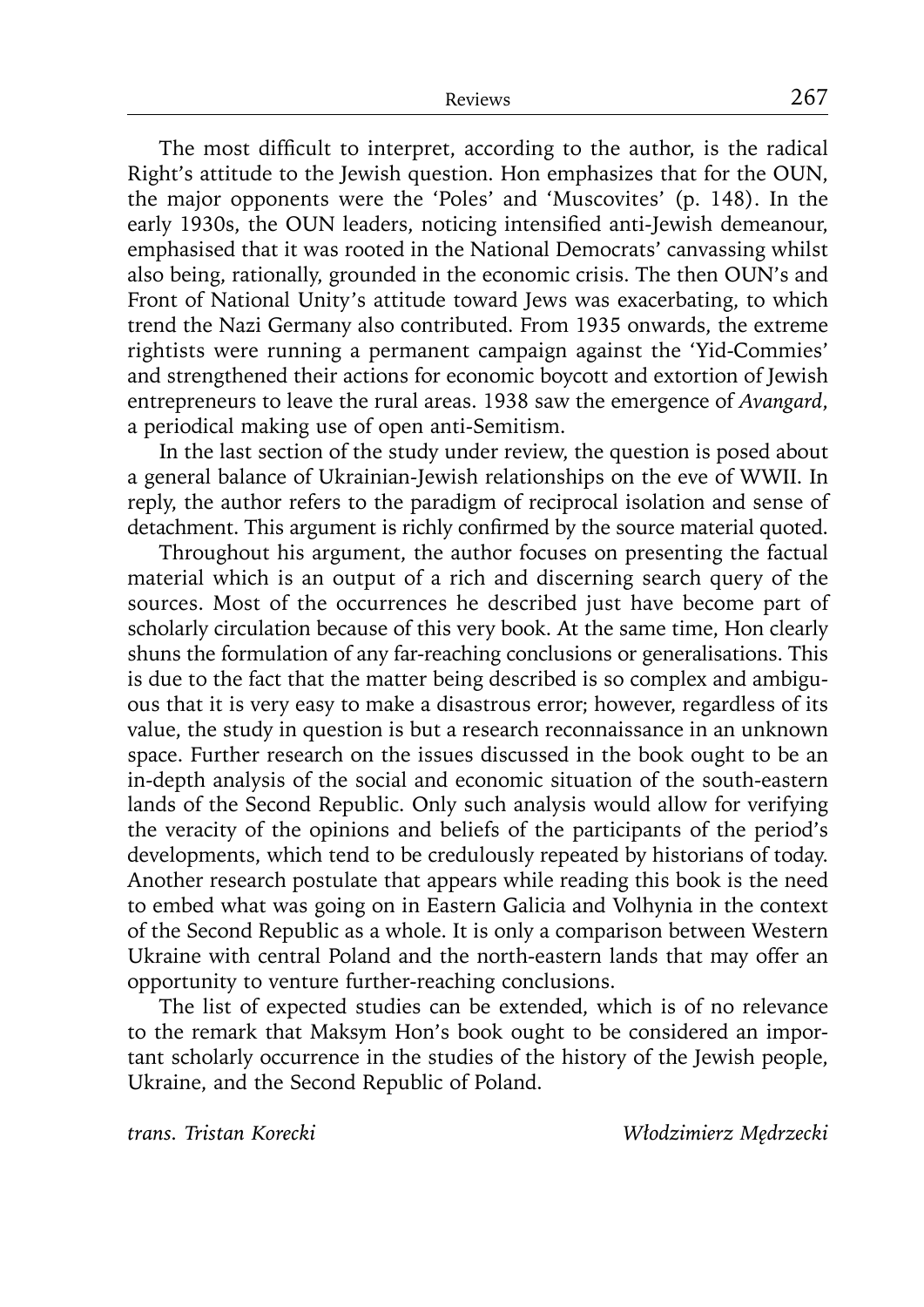The most difficult to interpret, according to the author, is the radical Right's attitude to the Jewish question. Hon emphasizes that for the OUN, the major opponents were the 'Poles' and 'Muscovites' (p. 148). In the early 1930s, the OUN leaders, noticing intensified anti-Jewish demeanour, emphasised that it was rooted in the National Democrats' canvassing whilst also being, rationally, grounded in the economic crisis. The then OUN's and Front of National Unity's attitude toward Jews was exacerbating, to which trend the Nazi Germany also contributed. From 1935 onwards, the extreme rightists were running a permanent campaign against the 'Yid-Commies' and strengthened their actions for economic boycott and extortion of Jewish entrepreneurs to leave the rural areas. 1938 saw the emergence of *Avangard*, a periodical making use of open anti-Semitism.

In the last section of the study under review, the question is posed about a general balance of Ukrainian-Jewish relationships on the eve of WWII. In reply, the author refers to the paradigm of reciprocal isolation and sense of detachment. This argument is richly confirmed by the source material quoted.

Throughout his argument, the author focuses on presenting the factual material which is an output of a rich and discerning search query of the sources. Most of the occurrences he described just have become part of scholarly circulation because of this very book. At the same time, Hon clearly shuns the formulation of any far-reaching conclusions or generalisations. This is due to the fact that the matter being described is so complex and ambiguous that it is very easy to make a disastrous error; however, regardless of its value, the study in question is but a research reconnaissance in an unknown space. Further research on the issues discussed in the book ought to be an in-depth analysis of the social and economic situation of the south-eastern lands of the Second Republic. Only such analysis would allow for verifying the veracity of the opinions and beliefs of the participants of the period's developments, which tend to be credulously repeated by historians of today. Another research postulate that appears while reading this book is the need to embed what was going on in Eastern Galicia and Volhynia in the context of the Second Republic as a whole. It is only a comparison between Western Ukraine with central Poland and the north-eastern lands that may offer an opportunity to venture further-reaching conclusions.

The list of expected studies can be extended, which is of no relevance to the remark that Maksym Hon's book ought to be considered an important scholarly occurrence in the studies of the history of the Jewish people, Ukraine, and the Second Republic of Poland.

*trans. Tristan Korecki Włodzimierz Mędrzecki*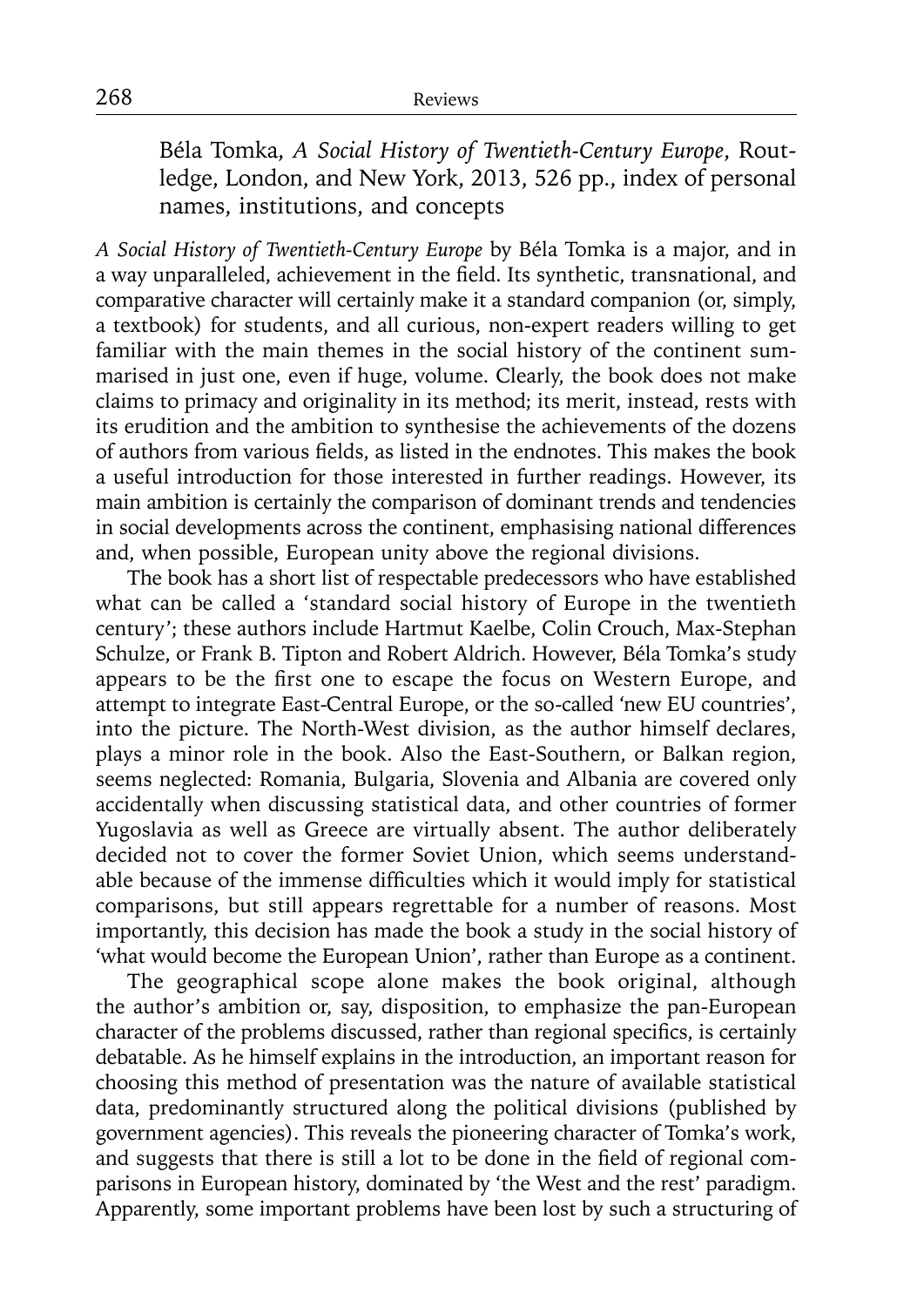Béla Tomka, *A Social History of Twentieth-Century Europe*, Routledge, London, and New York, 2013, 526 pp., index of personal names, institutions, and concepts

*A Social History of Twentieth-Century Europe* by Béla Tomka is a major, and in a way unparalleled, achievement in the field. Its synthetic, transnational, and comparative character will certainly make it a standard companion (or, simply, a textbook) for students, and all curious, non-expert readers willing to get familiar with the main themes in the social history of the continent summarised in just one, even if huge, volume. Clearly, the book does not make claims to primacy and originality in its method; its merit, instead, rests with its erudition and the ambition to synthesise the achievements of the dozens of authors from various fields, as listed in the endnotes. This makes the book a useful introduction for those interested in further readings. However, its main ambition is certainly the comparison of dominant trends and tendencies in social developments across the continent, emphasising national differences and, when possible, European unity above the regional divisions.

The book has a short list of respectable predecessors who have established what can be called a 'standard social history of Europe in the twentieth century'; these authors include Hartmut Kaelbe, Colin Crouch, Max-Stephan Schulze, or Frank B. Tipton and Robert Aldrich. However, Béla Tomka's study appears to be the first one to escape the focus on Western Europe, and attempt to integrate East-Central Europe, or the so-called 'new EU countries', into the picture. The North-West division, as the author himself declares, plays a minor role in the book. Also the East-Southern, or Balkan region, seems neglected: Romania, Bulgaria, Slovenia and Albania are covered only accidentally when discussing statistical data, and other countries of former Yugoslavia as well as Greece are virtually absent. The author deliberately decided not to cover the former Soviet Union, which seems understandable because of the immense difficulties which it would imply for statistical comparisons, but still appears regrettable for a number of reasons. Most importantly, this decision has made the book a study in the social history of 'what would become the European Union', rather than Europe as a continent.

The geographical scope alone makes the book original, although the author's ambition or, say, disposition, to emphasize the pan-European character of the problems discussed, rather than regional specifics, is certainly debatable. As he himself explains in the introduction, an important reason for choosing this method of presentation was the nature of available statistical data, predominantly structured along the political divisions (published by government agencies). This reveals the pioneering character of Tomka's work, and suggests that there is still a lot to be done in the field of regional comparisons in European history, dominated by 'the West and the rest' paradigm. Apparently, some important problems have been lost by such a structuring of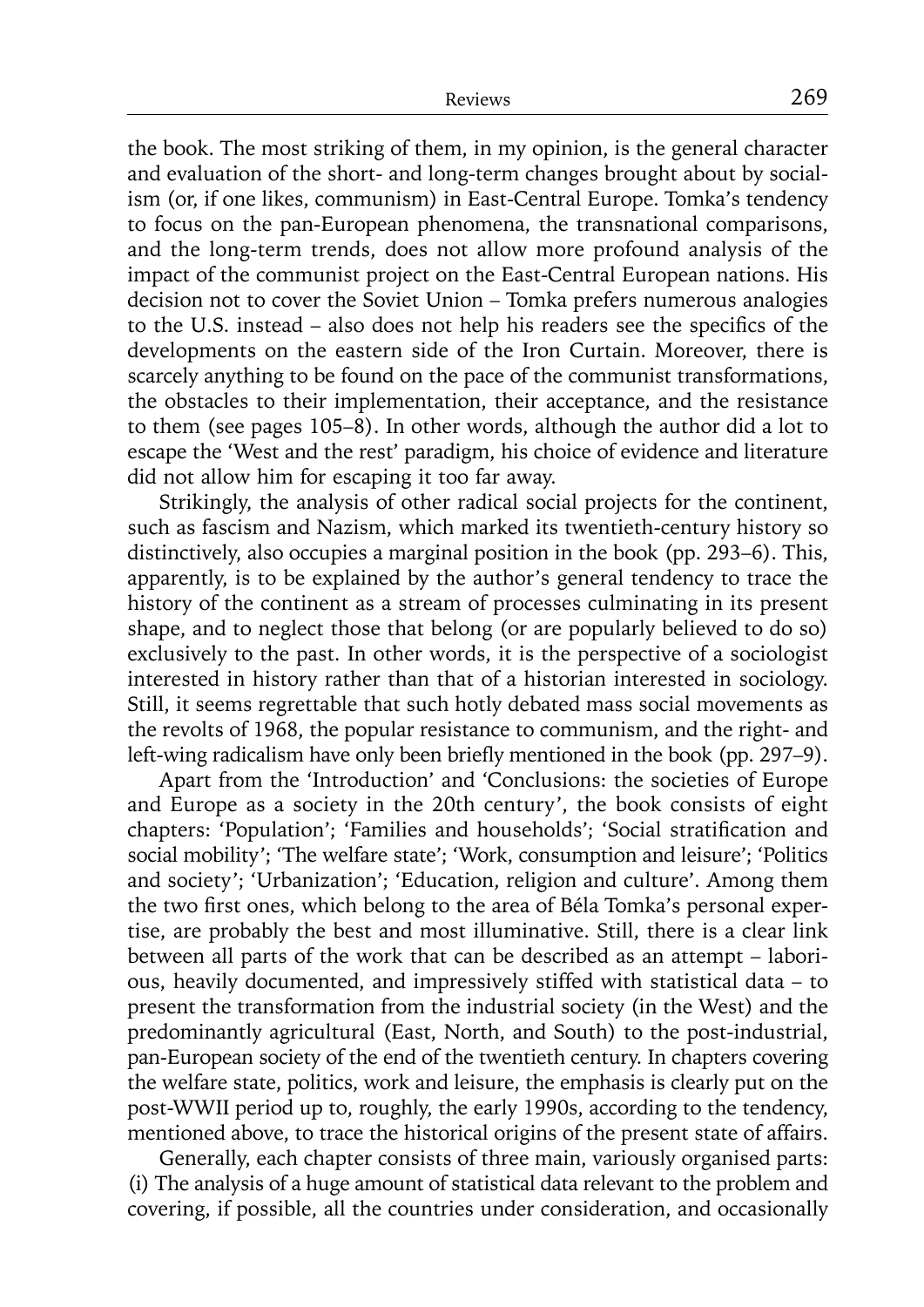the book. The most striking of them, in my opinion, is the general character and evaluation of the short- and long-term changes brought about by socialism (or, if one likes, communism) in East-Central Europe. Tomka's tendency to focus on the pan-European phenomena, the transnational comparisons, and the long-term trends, does not allow more profound analysis of the impact of the communist project on the East-Central European nations. His decision not to cover the Soviet Union – Tomka prefers numerous analogies to the U.S. instead – also does not help his readers see the specifics of the developments on the eastern side of the Iron Curtain. Moreover, there is scarcely anything to be found on the pace of the communist transformations, the obstacles to their implementation, their acceptance, and the resistance to them (see pages 105–8). In other words, although the author did a lot to escape the 'West and the rest' paradigm, his choice of evidence and literature did not allow him for escaping it too far away.

Strikingly, the analysis of other radical social projects for the continent, such as fascism and Nazism, which marked its twentieth-century history so distinctively, also occupies a marginal position in the book (pp. 293–6). This, apparently, is to be explained by the author's general tendency to trace the history of the continent as a stream of processes culminating in its present shape, and to neglect those that belong (or are popularly believed to do so) exclusively to the past. In other words, it is the perspective of a sociologist interested in history rather than that of a historian interested in sociology. Still, it seems regrettable that such hotly debated mass social movements as the revolts of 1968, the popular resistance to communism, and the right- and left-wing radicalism have only been briefly mentioned in the book (pp. 297–9).

Apart from the 'Introduction' and 'Conclusions: the societies of Europe and Europe as a society in the 20th century', the book consists of eight chapters: 'Population'; 'Families and households'; 'Social stratification and social mobility'; 'The welfare state'; 'Work, consumption and leisure'; 'Politics and society'; 'Urbanization'; 'Education, religion and culture'. Among them the two first ones, which belong to the area of Béla Tomka's personal expertise, are probably the best and most illuminative. Still, there is a clear link between all parts of the work that can be described as an attempt – laborious, heavily documented, and impressively stiffed with statistical data – to present the transformation from the industrial society (in the West) and the predominantly agricultural (East, North, and South) to the post-industrial, pan-European society of the end of the twentieth century. In chapters covering the welfare state, politics, work and leisure, the emphasis is clearly put on the post-WWII period up to, roughly, the early 1990s, according to the tendency, mentioned above, to trace the historical origins of the present state of affairs.

Generally, each chapter consists of three main, variously organised parts: (i) The analysis of a huge amount of statistical data relevant to the problem and covering, if possible, all the countries under consideration, and occasionally